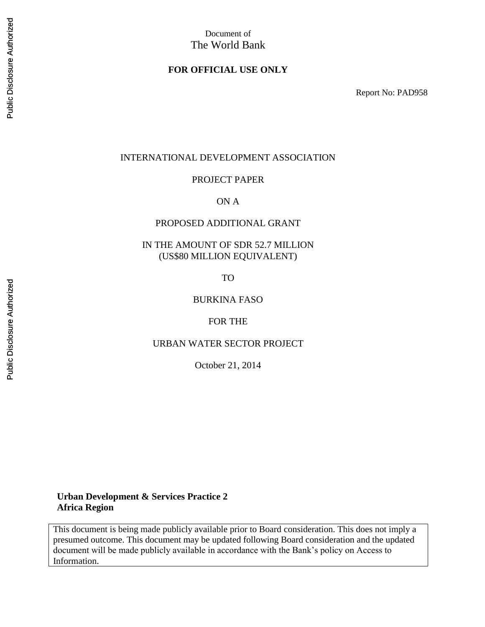# Document of The World Bank

## **FOR OFFICIAL USE ONLY**

Report No: PAD958

#### INTERNATIONAL DEVELOPMENT ASSOCIATION

#### PROJECT PAPER

#### ON A

## PROPOSED ADDITIONAL GRANT

## IN THE AMOUNT OF SDR 52.7 MILLION (US\$80 MILLION EQUIVALENT)

TO

#### BURKINA FASO

#### FOR THE

#### URBAN WATER SECTOR PROJECT

October 21, 2014

### **Urban Development & Services Practice 2 Africa Region**

This document is being made publicly available prior to Board consideration. This does not imply a presumed outcome. This document may be updated following Board consideration and the updated document will be made publicly available in accordance with the Bank's policy on Access to Information.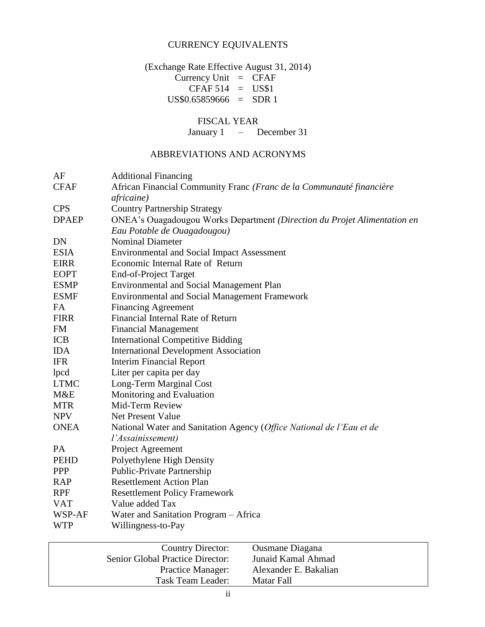# CURRENCY EQUIVALENTS

(Exchange Rate Effective August 31, 2014)  $Currency Unit = CFAF$  $CFAF 514 = US$1$ US\$0.65859666 = SDR 1

# FISCAL YEAR

January 1 – December 31

# ABBREVIATIONS AND ACRONYMS

| <b>Additional Financing</b>                                                        |
|------------------------------------------------------------------------------------|
| African Financial Community Franc (Franc de la Communauté financière<br>africaine) |
| <b>Country Partnership Strategy</b>                                                |
| ONEA's Ouagadougou Works Department (Direction du Projet Alimentation en           |
| Eau Potable de Ouagadougou)                                                        |
| <b>Nominal Diameter</b>                                                            |
| <b>Environmental and Social Impact Assessment</b>                                  |
| Economic Internal Rate of Return                                                   |
| End-of-Project Target                                                              |
| <b>Environmental and Social Management Plan</b>                                    |
| <b>Environmental and Social Management Framework</b>                               |
| <b>Financing Agreement</b>                                                         |
| Financial Internal Rate of Return                                                  |
| <b>Financial Management</b>                                                        |
| <b>International Competitive Bidding</b>                                           |
| <b>International Development Association</b>                                       |
| <b>Interim Financial Report</b>                                                    |
| Liter per capita per day                                                           |
| Long-Term Marginal Cost                                                            |
| Monitoring and Evaluation                                                          |
| Mid-Term Review                                                                    |
| <b>Net Present Value</b>                                                           |
| National Water and Sanitation Agency (Office National de l'Eau et de               |
| l'Assainissement)                                                                  |
| Project Agreement                                                                  |
| Polyethylene High Density                                                          |
| Public-Private Partnership                                                         |
| <b>Resettlement Action Plan</b>                                                    |
| <b>Resettlement Policy Framework</b>                                               |
| Value added Tax                                                                    |
| Water and Sanitation Program – Africa                                              |
| Willingness-to-Pay                                                                 |
|                                                                                    |

| <b>Country Director:</b>         | <b>Ousmane Diagana</b> |
|----------------------------------|------------------------|
| Senior Global Practice Director: | Junaid Kamal Ahmad     |
| <b>Practice Manager:</b>         | Alexander E. Bakalian  |
| Task Team Leader:                | Matar Fall             |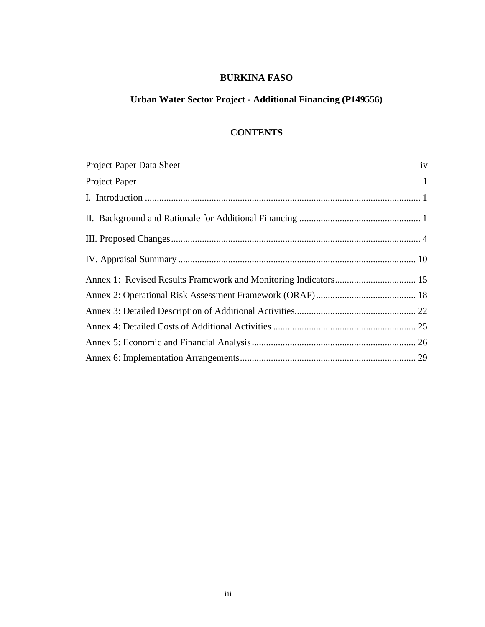# **BURKINA FASO**

# **Urban Water Sector Project - Additional Financing (P149556)**

# **CONTENTS**

| Project Paper Data Sheet | iv           |
|--------------------------|--------------|
| Project Paper            | $\mathbf{1}$ |
|                          |              |
|                          |              |
|                          |              |
|                          |              |
|                          |              |
|                          |              |
|                          |              |
|                          |              |
|                          |              |
|                          |              |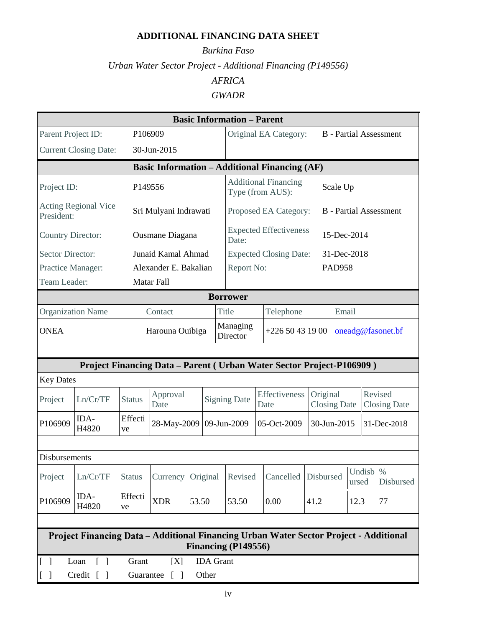# **ADDITIONAL FINANCING DATA SHEET**

# *Burkina Faso Urban Water Sector Project - Additional Financing (P149556) AFRICA GWADR*

| <b>Basic Information - Parent</b>                                                                            |                                                                                 |                 |                       |                      |                                                 |                     |                       |                                                                        |                                 |               |                   |                                |                               |
|--------------------------------------------------------------------------------------------------------------|---------------------------------------------------------------------------------|-----------------|-----------------------|----------------------|-------------------------------------------------|---------------------|-----------------------|------------------------------------------------------------------------|---------------------------------|---------------|-------------------|--------------------------------|-------------------------------|
| Parent Project ID:                                                                                           |                                                                                 |                 | P106909               |                      |                                                 |                     | Original EA Category: |                                                                        |                                 |               |                   |                                | <b>B</b> - Partial Assessment |
|                                                                                                              | <b>Current Closing Date:</b>                                                    |                 | 30-Jun-2015           |                      |                                                 |                     |                       |                                                                        |                                 |               |                   |                                |                               |
|                                                                                                              | <b>Basic Information - Additional Financing (AF)</b>                            |                 |                       |                      |                                                 |                     |                       |                                                                        |                                 |               |                   |                                |                               |
| Project ID:                                                                                                  | P <sub>149556</sub>                                                             |                 |                       |                      | <b>Additional Financing</b><br>Type (from AUS): |                     |                       | Scale Up                                                               |                                 |               |                   |                                |                               |
| President:                                                                                                   | <b>Acting Regional Vice</b>                                                     |                 | Sri Mulyani Indrawati |                      |                                                 |                     |                       | Proposed EA Category:                                                  |                                 |               |                   |                                | <b>B</b> - Partial Assessment |
| <b>Country Director:</b>                                                                                     |                                                                                 |                 | Ousmane Diagana       |                      |                                                 | Date:               |                       | <b>Expected Effectiveness</b>                                          |                                 |               | 15-Dec-2014       |                                |                               |
| <b>Sector Director:</b>                                                                                      |                                                                                 |                 | Junaid Kamal Ahmad    |                      |                                                 |                     |                       | <b>Expected Closing Date:</b>                                          |                                 |               | 31-Dec-2018       |                                |                               |
| Practice Manager:                                                                                            |                                                                                 |                 | Alexander E. Bakalian |                      |                                                 | Report No:          |                       |                                                                        |                                 | <b>PAD958</b> |                   |                                |                               |
| Team Leader:                                                                                                 |                                                                                 |                 | Matar Fall            |                      |                                                 |                     |                       |                                                                        |                                 |               |                   |                                |                               |
|                                                                                                              |                                                                                 |                 |                       |                      |                                                 | <b>Borrower</b>     |                       |                                                                        |                                 |               |                   |                                |                               |
| <b>Organization Name</b>                                                                                     |                                                                                 |                 | Contact               |                      |                                                 | Title               |                       | Telephone                                                              |                                 | Email         |                   |                                |                               |
| <b>ONEA</b>                                                                                                  |                                                                                 | Harouna Ouibiga |                       | Managing<br>Director |                                                 | $+22650431900$      |                       | oneadg@fasonet.bf                                                      |                                 |               |                   |                                |                               |
| <b>Key Dates</b>                                                                                             |                                                                                 |                 |                       |                      |                                                 |                     |                       | Project Financing Data - Parent ( Urban Water Sector Project-P106909 ) |                                 |               |                   |                                |                               |
| Project                                                                                                      | Ln/Cr/TF                                                                        | <b>Status</b>   | Approval<br>Date      |                      |                                                 | <b>Signing Date</b> |                       | Effectiveness<br>Date                                                  | Original<br><b>Closing Date</b> |               |                   | Revised<br><b>Closing Date</b> |                               |
| P106909                                                                                                      | IDA-<br>H4820                                                                   | Effecti<br>ve   | 28-May-2009           |                      |                                                 | 09-Jun-2009         |                       | 05-Oct-2009                                                            | 30-Jun-2015                     |               | 31-Dec-2018       |                                |                               |
| <b>Disbursements</b>                                                                                         |                                                                                 |                 |                       |                      |                                                 |                     |                       |                                                                        |                                 |               |                   |                                |                               |
| Project                                                                                                      | Ln/Cr/TF                                                                        | <b>Status</b>   | Currency              |                      | Original                                        | Revised             |                       | Cancelled                                                              | Disbursed                       |               | Undisb %<br>ursed |                                | Disbursed                     |
| P106909                                                                                                      | IDA-<br>H4820                                                                   | Effecti<br>ve   | <b>XDR</b>            | 53.50                |                                                 | 53.50               |                       | 0.00                                                                   | 41.2                            |               | 12.3              |                                | 77                            |
|                                                                                                              |                                                                                 |                 |                       |                      |                                                 |                     |                       |                                                                        |                                 |               |                   |                                |                               |
| Project Financing Data - Additional Financing Urban Water Sector Project - Additional<br>Financing (P149556) |                                                                                 |                 |                       |                      |                                                 |                     |                       |                                                                        |                                 |               |                   |                                |                               |
| $[\ ]$                                                                                                       | Loan<br>$\lceil \ \rceil$                                                       | Grant           | [X]                   |                      | <b>IDA</b> Grant                                |                     |                       |                                                                        |                                 |               |                   |                                |                               |
| $\lceil$                                                                                                     | Credit [<br>Other<br>Guarantee<br>$\lceil$ $\rceil$<br>$\overline{\phantom{a}}$ |                 |                       |                      |                                                 |                     |                       |                                                                        |                                 |               |                   |                                |                               |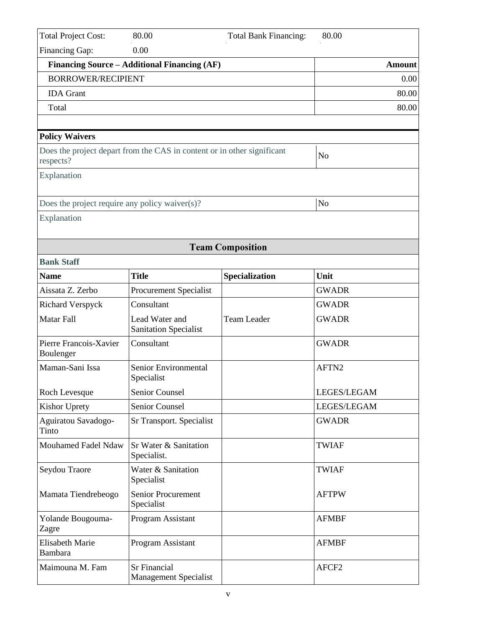| <b>Total Project Cost:</b>                         | 80.00                                                                   | <b>Total Bank Financing:</b> | 80.00             |
|----------------------------------------------------|-------------------------------------------------------------------------|------------------------------|-------------------|
| Financing Gap:                                     | 0.00                                                                    |                              |                   |
|                                                    | Financing Source – Additional Financing (AF)                            |                              | <b>Amount</b>     |
| <b>BORROWER/RECIPIENT</b>                          |                                                                         |                              | 0.00              |
| <b>IDA</b> Grant                                   |                                                                         |                              | 80.00             |
| Total                                              |                                                                         |                              | 80.00             |
|                                                    |                                                                         |                              |                   |
| <b>Policy Waivers</b>                              |                                                                         |                              |                   |
| respects?                                          | Does the project depart from the CAS in content or in other significant |                              | N <sub>o</sub>    |
| Explanation                                        |                                                                         |                              |                   |
| Does the project require any policy waiver $(s)$ ? |                                                                         |                              | N <sub>o</sub>    |
| Explanation                                        |                                                                         |                              |                   |
|                                                    |                                                                         | <b>Team Composition</b>      |                   |
| <b>Bank Staff</b>                                  |                                                                         |                              |                   |
| <b>Name</b>                                        | <b>Title</b>                                                            | Specialization               | Unit              |
| Aissata Z. Zerbo                                   | <b>Procurement Specialist</b>                                           |                              | <b>GWADR</b>      |
| <b>Richard Verspyck</b>                            | Consultant                                                              |                              | <b>GWADR</b>      |
| <b>Matar Fall</b>                                  | Lead Water and<br><b>Sanitation Specialist</b>                          | <b>Team Leader</b>           | <b>GWADR</b>      |
| Pierre Francois-Xavier<br>Boulenger                | Consultant                                                              |                              | <b>GWADR</b>      |
| Maman-Sani Issa                                    | Senior Environmental<br>Specialist                                      |                              | AFTN <sub>2</sub> |
| Roch Levesque                                      | Senior Counsel                                                          |                              | LEGES/LEGAM       |
| <b>Kishor Uprety</b>                               | Senior Counsel                                                          |                              | LEGES/LEGAM       |
| Aguiratou Savadogo-<br>Tinto                       | Sr Transport. Specialist                                                |                              | <b>GWADR</b>      |
| Mouhamed Fadel Ndaw                                | Sr Water & Sanitation<br>Specialist.                                    |                              | <b>TWIAF</b>      |
| Seydou Traore                                      | Water & Sanitation<br>Specialist                                        |                              | <b>TWIAF</b>      |
| Mamata Tiendrebeogo                                | Senior Procurement<br>Specialist                                        |                              | <b>AFTPW</b>      |
| Yolande Bougouma-<br>Zagre                         | Program Assistant                                                       |                              | <b>AFMBF</b>      |
| <b>Elisabeth Marie</b><br><b>Bambara</b>           | Program Assistant                                                       |                              | <b>AFMBF</b>      |
| Maimouna M. Fam                                    | Sr Financial<br><b>Management Specialist</b>                            |                              | AFCF <sub>2</sub> |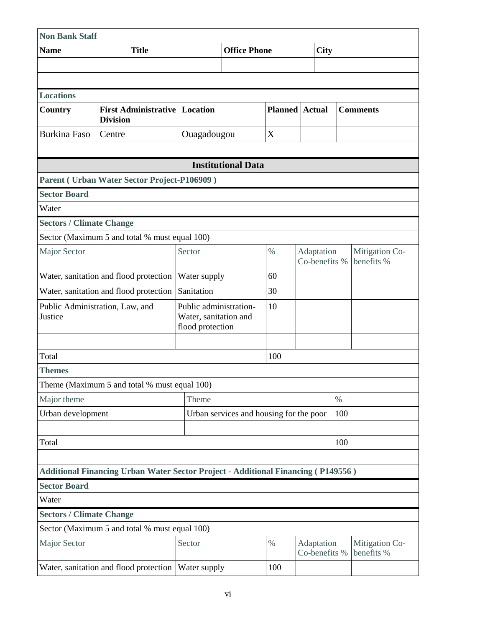| <b>Non Bank Staff</b>                                                                   |                 |                                      |                                                                     |                                         |                                           |                       |                             |      |                              |  |
|-----------------------------------------------------------------------------------------|-----------------|--------------------------------------|---------------------------------------------------------------------|-----------------------------------------|-------------------------------------------|-----------------------|-----------------------------|------|------------------------------|--|
| <b>Name</b>                                                                             |                 | <b>Title</b>                         | <b>Office Phone</b>                                                 |                                         |                                           |                       | <b>City</b>                 |      |                              |  |
|                                                                                         |                 |                                      |                                                                     |                                         |                                           |                       |                             |      |                              |  |
|                                                                                         |                 |                                      |                                                                     |                                         |                                           |                       |                             |      |                              |  |
| <b>Locations</b>                                                                        |                 |                                      |                                                                     |                                         |                                           |                       |                             |      |                              |  |
| Country                                                                                 | <b>Division</b> | <b>First Administrative Location</b> |                                                                     |                                         |                                           | <b>Planned</b> Actual |                             |      | <b>Comments</b>              |  |
| <b>Burkina Faso</b>                                                                     | Centre          |                                      | Ouagadougou                                                         |                                         | X                                         |                       |                             |      |                              |  |
|                                                                                         |                 |                                      |                                                                     |                                         |                                           |                       |                             |      |                              |  |
|                                                                                         |                 |                                      |                                                                     | <b>Institutional Data</b>               |                                           |                       |                             |      |                              |  |
| Parent (Urban Water Sector Project-P106909)                                             |                 |                                      |                                                                     |                                         |                                           |                       |                             |      |                              |  |
| <b>Sector Board</b>                                                                     |                 |                                      |                                                                     |                                         |                                           |                       |                             |      |                              |  |
| Water                                                                                   |                 |                                      |                                                                     |                                         |                                           |                       |                             |      |                              |  |
| <b>Sectors / Climate Change</b>                                                         |                 |                                      |                                                                     |                                         |                                           |                       |                             |      |                              |  |
| Sector (Maximum 5 and total % must equal 100)                                           |                 |                                      |                                                                     |                                         |                                           |                       |                             |      |                              |  |
| <b>Major Sector</b>                                                                     |                 |                                      | Sector                                                              | $\%$                                    | Adaptation<br>Co-benefits %<br>benefits % |                       | Mitigation Co-              |      |                              |  |
| Water, sanitation and flood protection                                                  |                 |                                      | Water supply                                                        | 60                                      |                                           |                       |                             |      |                              |  |
| Water, sanitation and flood protection                                                  |                 |                                      | Sanitation                                                          |                                         | 30                                        |                       |                             |      |                              |  |
| Public Administration, Law, and<br>Justice                                              |                 |                                      | Public administration-<br>Water, sanitation and<br>flood protection | 10                                      |                                           |                       |                             |      |                              |  |
| Total                                                                                   |                 |                                      |                                                                     |                                         | 100                                       |                       |                             |      |                              |  |
| <b>Themes</b>                                                                           |                 |                                      |                                                                     |                                         |                                           |                       |                             |      |                              |  |
| Theme (Maximum 5 and total % must equal 100)                                            |                 |                                      |                                                                     |                                         |                                           |                       |                             |      |                              |  |
| Major theme                                                                             |                 |                                      | Theme                                                               |                                         |                                           |                       |                             | $\%$ |                              |  |
| Urban development                                                                       |                 |                                      |                                                                     | Urban services and housing for the poor |                                           |                       |                             | 100  |                              |  |
|                                                                                         |                 |                                      |                                                                     |                                         |                                           |                       |                             |      |                              |  |
| Total                                                                                   |                 |                                      |                                                                     |                                         |                                           |                       |                             | 100  |                              |  |
|                                                                                         |                 |                                      |                                                                     |                                         |                                           |                       |                             |      |                              |  |
| <b>Additional Financing Urban Water Sector Project - Additional Financing (P149556)</b> |                 |                                      |                                                                     |                                         |                                           |                       |                             |      |                              |  |
| <b>Sector Board</b>                                                                     |                 |                                      |                                                                     |                                         |                                           |                       |                             |      |                              |  |
| Water                                                                                   |                 |                                      |                                                                     |                                         |                                           |                       |                             |      |                              |  |
| <b>Sectors / Climate Change</b>                                                         |                 |                                      |                                                                     |                                         |                                           |                       |                             |      |                              |  |
| Sector (Maximum 5 and total % must equal 100)                                           |                 |                                      |                                                                     |                                         |                                           |                       |                             |      |                              |  |
| <b>Major Sector</b>                                                                     |                 |                                      | Sector                                                              |                                         | $\%$                                      |                       | Adaptation<br>Co-benefits % |      | Mitigation Co-<br>benefits % |  |
| Water, sanitation and flood protection                                                  |                 |                                      | Water supply                                                        |                                         | 100                                       |                       |                             |      |                              |  |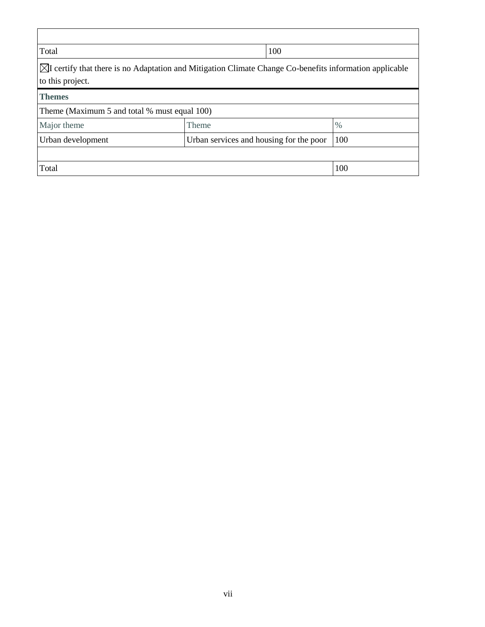| Total                                                                                                                                  |       | 100                                     |               |  |  |  |
|----------------------------------------------------------------------------------------------------------------------------------------|-------|-----------------------------------------|---------------|--|--|--|
| $\boxtimes I$ certify that there is no Adaptation and Mitigation Climate Change Co-benefits information applicable<br>to this project. |       |                                         |               |  |  |  |
| <b>Themes</b>                                                                                                                          |       |                                         |               |  |  |  |
| Theme (Maximum 5 and total % must equal 100)                                                                                           |       |                                         |               |  |  |  |
| Major theme                                                                                                                            | Theme |                                         | $\frac{0}{0}$ |  |  |  |
| Urban development                                                                                                                      |       | Urban services and housing for the poor | 100           |  |  |  |
|                                                                                                                                        |       |                                         |               |  |  |  |
| Total                                                                                                                                  |       |                                         | 100           |  |  |  |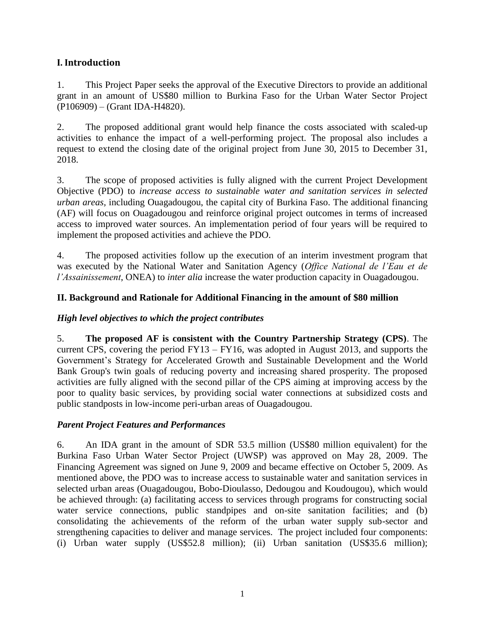## <span id="page-8-0"></span>**I. Introduction**

1. This Project Paper seeks the approval of the Executive Directors to provide an additional grant in an amount of US\$80 million to Burkina Faso for the Urban Water Sector Project (P106909) – (Grant IDA-H4820).

2. The proposed additional grant would help finance the costs associated with scaled-up activities to enhance the impact of a well-performing project. The proposal also includes a request to extend the closing date of the original project from June 30, 2015 to December 31, 2018.

3. The scope of proposed activities is fully aligned with the current Project Development Objective (PDO) to *increase access to sustainable water and sanitation services in selected urban areas,* including Ouagadougou, the capital city of Burkina Faso. The additional financing (AF) will focus on Ouagadougou and reinforce original project outcomes in terms of increased access to improved water sources. An implementation period of four years will be required to implement the proposed activities and achieve the PDO.

4. The proposed activities follow up the execution of an interim investment program that was executed by the National Water and Sanitation Agency (*Office National de l'Eau et de l'Assainissement*, ONEA) to *inter alia* increase the water production capacity in Ouagadougou.

## <span id="page-8-1"></span>**II. Background and Rationale for Additional Financing in the amount of \$80 million**

## *High level objectives to which the project contributes*

5. **The proposed AF is consistent with the Country Partnership Strategy (CPS)**. The current CPS, covering the period FY13 – FY16, was adopted in August 2013, and supports the Government's Strategy for Accelerated Growth and Sustainable Development and the World Bank Group's twin goals of reducing poverty and increasing shared prosperity. The proposed activities are fully aligned with the second pillar of the CPS aiming at improving access by the poor to quality basic services, by providing social water connections at subsidized costs and public standposts in low-income peri-urban areas of Ouagadougou.

## *Parent Project Features and Performances*

6. An IDA grant in the amount of SDR 53.5 million (US\$80 million equivalent) for the Burkina Faso Urban Water Sector Project (UWSP) was approved on May 28, 2009. The Financing Agreement was signed on June 9, 2009 and became effective on October 5, 2009. As mentioned above, the PDO was to increase access to sustainable water and sanitation services in selected urban areas (Ouagadougou, Bobo-Dioulasso, Dedougou and Koudougou), which would be achieved through: (a) facilitating access to services through programs for constructing social water service connections, public standpipes and on-site sanitation facilities; and (b) consolidating the achievements of the reform of the urban water supply sub-sector and strengthening capacities to deliver and manage services. The project included four components: (i) Urban water supply (US\$52.8 million); (ii) Urban sanitation (US\$35.6 million);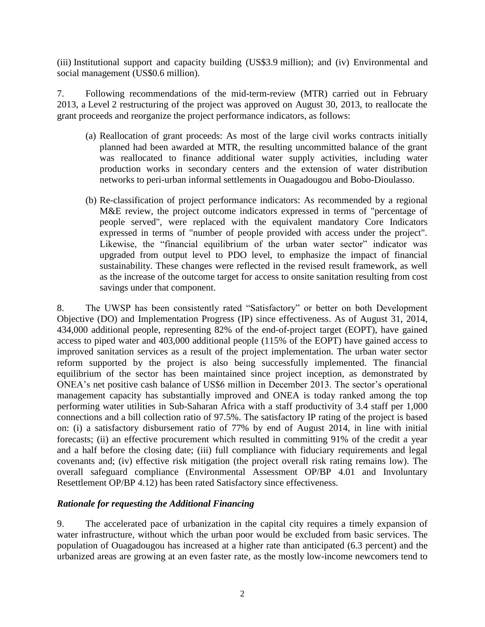(iii) Institutional support and capacity building (US\$3.9 million); and (iv) Environmental and social management (US\$0.6 million).

7. Following recommendations of the mid-term-review (MTR) carried out in February 2013, a Level 2 restructuring of the project was approved on August 30, 2013, to reallocate the grant proceeds and reorganize the project performance indicators, as follows:

- (a) Reallocation of grant proceeds: As most of the large civil works contracts initially planned had been awarded at MTR, the resulting uncommitted balance of the grant was reallocated to finance additional water supply activities, including water production works in secondary centers and the extension of water distribution networks to peri-urban informal settlements in Ouagadougou and Bobo-Dioulasso.
- (b) Re-classification of project performance indicators: As recommended by a regional M&E review, the project outcome indicators expressed in terms of "percentage of people served", were replaced with the equivalent mandatory Core Indicators expressed in terms of "number of people provided with access under the project". Likewise, the "financial equilibrium of the urban water sector" indicator was upgraded from output level to PDO level, to emphasize the impact of financial sustainability. These changes were reflected in the revised result framework, as well as the increase of the outcome target for access to onsite sanitation resulting from cost savings under that component.

8. The UWSP has been consistently rated "Satisfactory" or better on both Development Objective (DO) and Implementation Progress (IP) since effectiveness. As of August 31, 2014, 434,000 additional people, representing 82% of the end-of-project target (EOPT), have gained access to piped water and 403,000 additional people (115% of the EOPT) have gained access to improved sanitation services as a result of the project implementation. The urban water sector reform supported by the project is also being successfully implemented. The financial equilibrium of the sector has been maintained since project inception, as demonstrated by ONEA's net positive cash balance of US\$6 million in December 2013. The sector's operational management capacity has substantially improved and ONEA is today ranked among the top performing water utilities in Sub-Saharan Africa with a staff productivity of 3.4 staff per 1,000 connections and a bill collection ratio of 97.5%. The satisfactory IP rating of the project is based on: (i) a satisfactory disbursement ratio of 77% by end of August 2014, in line with initial forecasts; (ii) an effective procurement which resulted in committing 91% of the credit a year and a half before the closing date; (iii) full compliance with fiduciary requirements and legal covenants and; (iv) effective risk mitigation (the project overall risk rating remains low). The overall safeguard compliance (Environmental Assessment OP/BP 4.01 and Involuntary Resettlement OP/BP 4.12) has been rated Satisfactory since effectiveness.

### *Rationale for requesting the Additional Financing*

9. The accelerated pace of urbanization in the capital city requires a timely expansion of water infrastructure, without which the urban poor would be excluded from basic services. The population of Ouagadougou has increased at a higher rate than anticipated (6.3 percent) and the urbanized areas are growing at an even faster rate, as the mostly low-income newcomers tend to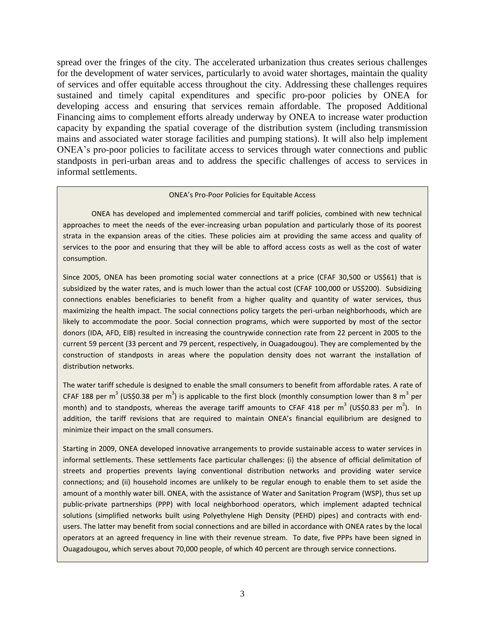spread over the fringes of the city. The accelerated urbanization thus creates serious challenges for the development of water services, particularly to avoid water shortages, maintain the quality of services and offer equitable access throughout the city. Addressing these challenges requires sustained and timely capital expenditures and specific pro-poor policies by ONEA for developing access and ensuring that services remain affordable. The proposed Additional Financing aims to complement efforts already underway by ONEA to increase water production capacity by expanding the spatial coverage of the distribution system (including transmission mains and associated water storage facilities and pumping stations). It will also help implement ONEA's pro-poor policies to facilitate access to services through water connections and public standposts in peri-urban areas and to address the specific challenges of access to services in informal settlements.

#### ONEA's Pro-Poor Policies for Equitable Access

ONEA has developed and implemented commercial and tariff policies, combined with new technical approaches to meet the needs of the ever-increasing urban population and particularly those of its poorest strata in the expansion areas of the cities. These policies aim at providing the same access and quality of services to the poor and ensuring that they will be able to afford access costs as well as the cost of water consumption.

Since 2005, ONEA has been promoting social water connections at a price (CFAF 30,500 or US\$61) that is subsidized by the water rates, and is much lower than the actual cost (CFAF 100,000 or US\$200). Subsidizing connections enables beneficiaries to benefit from a higher quality and quantity of water services, thus maximizing the health impact. The social connections policy targets the peri-urban neighborhoods, which are likely to accommodate the poor. Social connection programs, which were supported by most of the sector donors (IDA, AFD, EIB) resulted in increasing the countrywide connection rate from 22 percent in 2005 to the current 59 percent (33 percent and 79 percent, respectively, in Ouagadougou). They are complemented by the construction of standposts in areas where the population density does not warrant the installation of distribution networks.

The water tariff schedule is designed to enable the small consumers to benefit from affordable rates. A rate of CFAF 188 per m<sup>3</sup> (US\$0.38 per m<sup>3</sup>) is applicable to the first block (monthly consumption lower than 8 m<sup>3</sup> per month) and to standposts, whereas the average tariff amounts to CFAF 418 per m<sup>3</sup> (US\$0.83 per m<sup>3</sup>). In addition, the tariff revisions that are required to maintain ONEA's financial equilibrium are designed to minimize their impact on the small consumers.

Starting in 2009, ONEA developed innovative arrangements to provide sustainable access to water services in informal settlements. These settlements face particular challenges: (i) the absence of official delimitation of streets and properties prevents laying conventional distribution networks and providing water service connections; and (ii) household incomes are unlikely to be regular enough to enable them to set aside the amount of a monthly water bill. ONEA, with the assistance of Water and Sanitation Program (WSP), thus set up public-private partnerships (PPP) with local neighborhood operators, which implement adapted technical solutions (simplified networks built using Polyethylene High Density (PEHD) pipes) and contracts with endusers. The latter may benefit from social connections and are billed in accordance with ONEA rates by the local operators at an agreed frequency in line with their revenue stream. To date, five PPPs have been signed in Ouagadougou, which serves about 70,000 people, of which 40 percent are through service connections.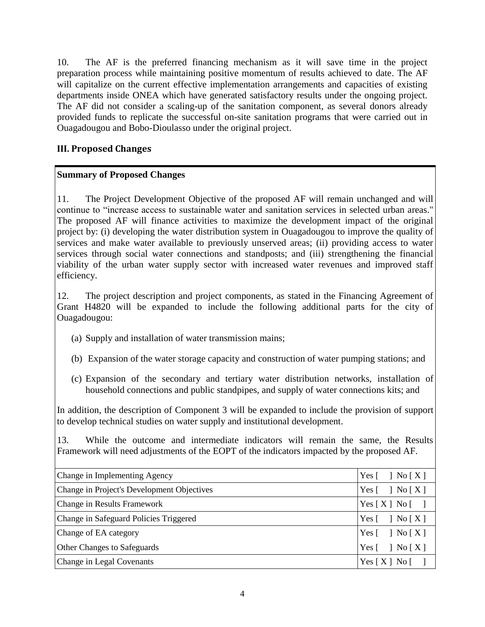10. The AF is the preferred financing mechanism as it will save time in the project preparation process while maintaining positive momentum of results achieved to date. The AF will capitalize on the current effective implementation arrangements and capacities of existing departments inside ONEA which have generated satisfactory results under the ongoing project. The AF did not consider a scaling-up of the sanitation component, as several donors already provided funds to replicate the successful on-site sanitation programs that were carried out in Ouagadougou and Bobo-Dioulasso under the original project.

# <span id="page-11-0"></span>**III. Proposed Changes**

## **Summary of Proposed Changes**

11. The Project Development Objective of the proposed AF will remain unchanged and will continue to "increase access to sustainable water and sanitation services in selected urban areas." The proposed AF will finance activities to maximize the development impact of the original project by: (i) developing the water distribution system in Ouagadougou to improve the quality of services and make water available to previously unserved areas; (ii) providing access to water services through social water connections and standposts; and (iii) strengthening the financial viability of the urban water supply sector with increased water revenues and improved staff efficiency.

12. The project description and project components, as stated in the Financing Agreement of Grant H4820 will be expanded to include the following additional parts for the city of Ouagadougou:

- (a) Supply and installation of water transmission mains;
- (b) Expansion of the water storage capacity and construction of water pumping stations; and
- (c) Expansion of the secondary and tertiary water distribution networks, installation of household connections and public standpipes, and supply of water connections kits; and

In addition, the description of Component 3 will be expanded to include the provision of support to develop technical studies on water supply and institutional development.

13. While the outcome and intermediate indicators will remain the same, the Results Framework will need adjustments of the EOPT of the indicators impacted by the proposed AF.

| Change in Implementing Agency              | Yes $\lceil \quad \rceil$ No $\lceil X \rceil$ |
|--------------------------------------------|------------------------------------------------|
| Change in Project's Development Objectives | Yes $\lceil \quad \rceil$ No $\lceil X \rceil$ |
| Change in Results Framework                | Yes $[X]$ No $\begin{bmatrix} \end{bmatrix}$   |
| Change in Safeguard Policies Triggered     | Yes $\lceil \quad \rceil$ No $\lceil X \rceil$ |
| Change of EA category                      | Yes $\lceil \quad \rceil$ No $\lceil X \rceil$ |
| Other Changes to Safeguards                | Yes $\lceil \quad \rceil$ No $\lceil X \rceil$ |
| Change in Legal Covenants                  | Yes[X] No[]                                    |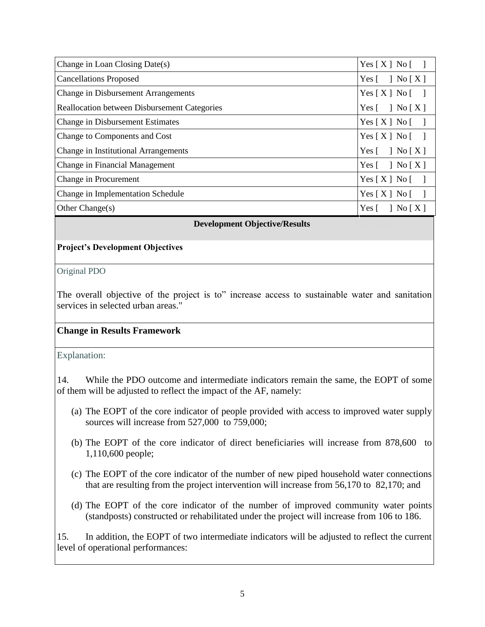| Change in Loan Closing Date(s)                      | Yes[X] No[]                                    |
|-----------------------------------------------------|------------------------------------------------|
| <b>Cancellations Proposed</b>                       | Yes $\lceil \quad \rceil$ No $\lceil X \rceil$ |
| <b>Change in Disbursement Arrangements</b>          | Yes[X] No[]                                    |
| <b>Reallocation between Disbursement Categories</b> | Yes $[ \ ]$ No $[X]$                           |
| <b>Change in Disbursement Estimates</b>             | Yes $[X]$ No $[$ ]                             |
| Change to Components and Cost                       | Yes $[X]$ No $[$ ]                             |
| Change in Institutional Arrangements                | Yes $\lceil \quad \rceil$ No $\lceil X \rceil$ |
| Change in Financial Management                      | Yes $[ \ ]$ No $[X]$                           |
| Change in Procurement                               | Yes[X] No[]                                    |
| Change in Implementation Schedule                   | Yes[X] No[                                     |
| Other Change $(s)$                                  | Yes $\lceil \quad \rceil$ No $\lceil X \rceil$ |

**Development Objective/Results** 

## **Project's Development Objectives**

### Original PDO

The overall objective of the project is to" increase access to sustainable water and sanitation services in selected urban areas."

### **Change in Results Framework**

## Explanation:

14. While the PDO outcome and intermediate indicators remain the same, the EOPT of some of them will be adjusted to reflect the impact of the AF, namely:

- (a) The EOPT of the core indicator of people provided with access to improved water supply sources will increase from 527,000 to 759,000;
- (b) The EOPT of the core indicator of direct beneficiaries will increase from 878,600 to 1,110,600 people;
- (c) The EOPT of the core indicator of the number of new piped household water connections that are resulting from the project intervention will increase from 56,170 to 82,170; and
- (d) The EOPT of the core indicator of the number of improved community water points (standposts) constructed or rehabilitated under the project will increase from 106 to 186.

15. In addition, the EOPT of two intermediate indicators will be adjusted to reflect the current level of operational performances: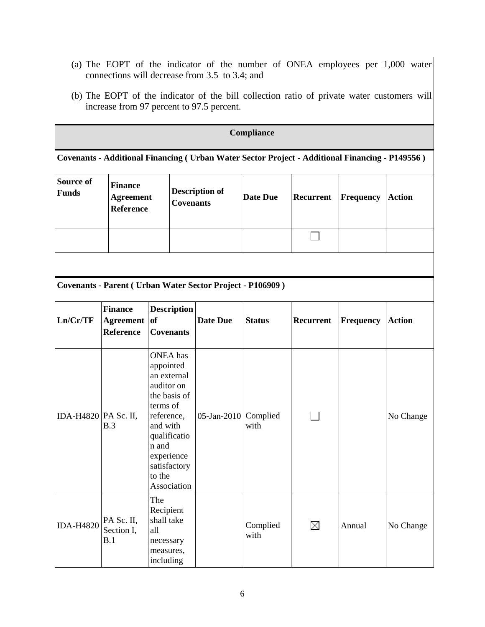- (a) The EOPT of the indicator of the number of ONEA employees per 1,000 water connections will decrease from 3.5 to 3.4; and
- (b) The EOPT of the indicator of the bill collection ratio of private water customers will increase from 97 percent to 97.5 percent.

| Compliance                |                                                                                                 |                                                                                                                                                                                                 |                                                                   |                  |             |           |               |  |  |
|---------------------------|-------------------------------------------------------------------------------------------------|-------------------------------------------------------------------------------------------------------------------------------------------------------------------------------------------------|-------------------------------------------------------------------|------------------|-------------|-----------|---------------|--|--|
|                           | Covenants - Additional Financing ( Urban Water Sector Project - Additional Financing - P149556) |                                                                                                                                                                                                 |                                                                   |                  |             |           |               |  |  |
| Source of<br><b>Funds</b> | <b>Finance</b><br><b>Agreement</b><br><b>Reference</b>                                          |                                                                                                                                                                                                 | <b>Description of</b><br><b>Covenants</b>                         | <b>Date Due</b>  | Recurrent   | Frequency | <b>Action</b> |  |  |
|                           |                                                                                                 |                                                                                                                                                                                                 |                                                                   |                  |             |           |               |  |  |
|                           |                                                                                                 |                                                                                                                                                                                                 |                                                                   |                  |             |           |               |  |  |
|                           |                                                                                                 |                                                                                                                                                                                                 | <b>Covenants - Parent ( Urban Water Sector Project - P106909)</b> |                  |             |           |               |  |  |
| Ln/Cr/TF                  | <b>Finance</b><br>Agreement of<br><b>Reference</b>                                              | <b>Description</b><br><b>Covenants</b>                                                                                                                                                          | <b>Date Due</b>                                                   | <b>Status</b>    | Recurrent   | Frequency | <b>Action</b> |  |  |
| IDA-H4820   PA Sc. II,    | B.3                                                                                             | <b>ONEA</b> has<br>appointed<br>an external<br>auditor on<br>the basis of<br>terms of<br>reference,<br>and with<br>qualificatio<br>n and<br>experience<br>satisfactory<br>to the<br>Association | 05-Jan-2010 $\lfloor$ Complied                                    | with             |             |           | No Change     |  |  |
| <b>IDA-H4820</b>          | PA Sc. II,<br>Section I,<br>B.1                                                                 | The<br>Recipient<br>shall take<br>all<br>necessary<br>measures,<br>including                                                                                                                    |                                                                   | Complied<br>with | $\boxtimes$ | Annual    | No Change     |  |  |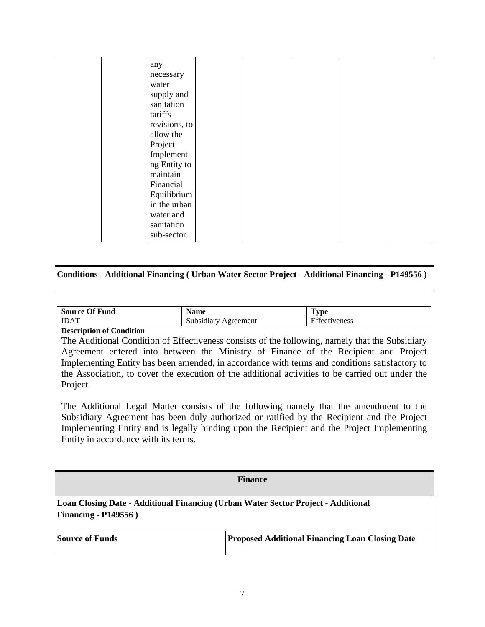| any           |  |  |  |
|---------------|--|--|--|
| necessary     |  |  |  |
| water         |  |  |  |
| supply and    |  |  |  |
| sanitation    |  |  |  |
| tariffs       |  |  |  |
| revisions, to |  |  |  |
| allow the     |  |  |  |
| Project       |  |  |  |
| Implementi    |  |  |  |
| ng Entity to  |  |  |  |
| maintain      |  |  |  |
| Financial     |  |  |  |
| Equilibrium   |  |  |  |
| in the urban  |  |  |  |
| water and     |  |  |  |
| sanitation    |  |  |  |
| sub-sector.   |  |  |  |
|               |  |  |  |

### **Conditions - Additional Financing ( Urban Water Sector Project - Additional Financing - P149556 )**

| <b>Source Of</b><br><b>Of Fund</b>                                                                                                                                                                                                                                                                                                 | - -<br>Name            | `wno<br>$\overline{\phantom{a}}$        |
|------------------------------------------------------------------------------------------------------------------------------------------------------------------------------------------------------------------------------------------------------------------------------------------------------------------------------------|------------------------|-----------------------------------------|
| <b>IDAT</b>                                                                                                                                                                                                                                                                                                                        | Subsidiary<br>greement | $\Gamma$ cc<br>veness<br><b>CHLUCTE</b> |
| $\mathbf{r}$ $\mathbf{r}$ $\mathbf{r}$ $\mathbf{r}$ $\mathbf{r}$ $\mathbf{r}$ $\mathbf{r}$ $\mathbf{r}$ $\mathbf{r}$ $\mathbf{r}$ $\mathbf{r}$ $\mathbf{r}$ $\mathbf{r}$ $\mathbf{r}$ $\mathbf{r}$ $\mathbf{r}$ $\mathbf{r}$ $\mathbf{r}$ $\mathbf{r}$ $\mathbf{r}$ $\mathbf{r}$ $\mathbf{r}$ $\mathbf{r}$ $\mathbf{r}$ $\mathbf{$ |                        |                                         |

**Description of Condition**

The Additional Condition of Effectiveness consists of the following, namely that the Subsidiary Agreement entered into between the Ministry of Finance of the Recipient and Project Implementing Entity has been amended, in accordance with terms and conditions satisfactory to the Association, to cover the execution of the additional activities to be carried out under the Project.

The Additional Legal Matter consists of the following namely that the amendment to the Subsidiary Agreement has been duly authorized or ratified by the Recipient and the Project Implementing Entity and is legally binding upon the Recipient and the Project Implementing Entity in accordance with its terms.

#### **Finance**

**Loan Closing Date - Additional Financing (Urban Water Sector Project - Additional Financing - P149556 )**

| <b>Source of Funds</b> | <b>Proposed Additional Financing Loan Closing Date</b> |
|------------------------|--------------------------------------------------------|
|                        |                                                        |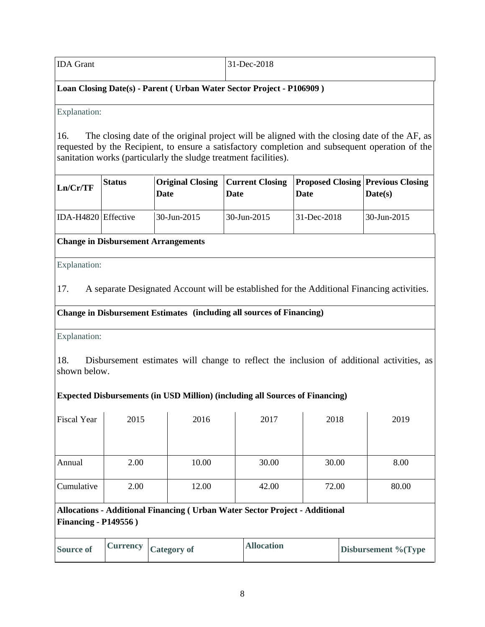IDA Grant 31-Dec-2018

## Loan Closing Date(s) - Parent ( Urban Water Sector Project - P106909 )

## Explanation:

16. The closing date of the original project will be aligned with the closing date of the AF, as requested by the Recipient, to ensure a satisfactory completion and subsequent operation of the sanitation works (particularly the sludge treatment facilities).

| Ln/Cr/TF            | <b>Status</b> | Date           | <b>Date</b>   | <b>Original Closing   Current Closing   Proposed Closing   Previous Closing</b><br><b>Date</b> | Date(s)             |
|---------------------|---------------|----------------|---------------|------------------------------------------------------------------------------------------------|---------------------|
| IDA-H4820 Effective |               | $30$ -Jun-2015 | l 30-Jun-2015 | $ 31 - Dec - 2018 $                                                                            | $ 30 - Jun - 2015 $ |

## **Change in Disbursement Arrangements**

Explanation:

17. A separate Designated Account will be established for the Additional Financing activities.

## **Change in Disbursement Estimates** (including all sources of Financing)

Explanation:

18. Disbursement estimates will change to reflect the inclusion of additional activities, as shown below.

## **Expected Disbursements (in USD Million) (including all Sources of Financing)**

| 2015                         | 2016   | 2017  | 2018                     | 2019                                                                         |
|------------------------------|--------|-------|--------------------------|------------------------------------------------------------------------------|
|                              |        |       |                          |                                                                              |
|                              |        |       |                          |                                                                              |
| 2.00                         | 10.00  | 30.00 | 30.00                    | 8.00                                                                         |
| 2.00                         | 12.00  | 42.00 | 72.00                    | 80.00                                                                        |
| <b>Financing - P149556</b> ) |        |       |                          |                                                                              |
|                              | $\sim$ |       | $\sqrt{11}$<br>$\lambda$ | Allocations - Additional Financing ( Urban Water Sector Project - Additional |

| <b>Source of</b> |  | $\vert$ Currency $\vert$ Category of | <b>Allocation</b> | <b>Disbursement % (Type)</b> |
|------------------|--|--------------------------------------|-------------------|------------------------------|
|------------------|--|--------------------------------------|-------------------|------------------------------|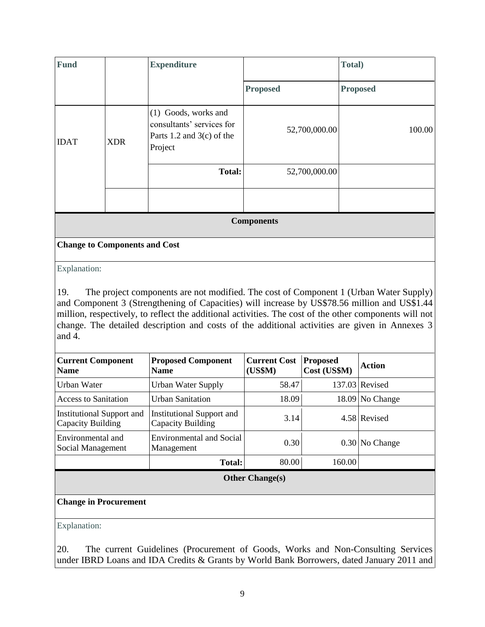| <b>Fund</b> |            | <b>Expenditure</b>                                                                            |                   | Total)          |
|-------------|------------|-----------------------------------------------------------------------------------------------|-------------------|-----------------|
|             |            |                                                                                               | <b>Proposed</b>   | <b>Proposed</b> |
| <b>IDAT</b> | <b>XDR</b> | $(1)$ Goods, works and<br>consultants' services for<br>Parts 1.2 and $3(c)$ of the<br>Project | 52,700,000.00     | 100.00          |
|             |            | <b>Total:</b>                                                                                 | 52,700,000.00     |                 |
|             |            |                                                                                               |                   |                 |
|             |            |                                                                                               | <b>Components</b> |                 |

**Change to Components and Cost** 

Explanation:

19. The project components are not modified. The cost of Component 1 (Urban Water Supply) and Component 3 (Strengthening of Capacities) will increase by US\$78.56 million and US\$1.44 million, respectively, to reflect the additional activities. The cost of the other components will not change. The detailed description and costs of the additional activities are given in Annexes 3 and 4.

| <b>Current Component</b><br><b>Name</b>               | <b>Proposed Component</b><br><b>Name</b>       | <b>Current Cost</b><br>(US\$M) | <b>Proposed</b><br>Cost (US\$M) | Action            |
|-------------------------------------------------------|------------------------------------------------|--------------------------------|---------------------------------|-------------------|
| Urban Water                                           | <b>Urban Water Supply</b>                      | 58.47                          |                                 | 137.03 Revised    |
| <b>Access to Sanitation</b>                           | Urban Sanitation                               | 18.09                          |                                 | $18.09$ No Change |
| <b>Institutional Support and</b><br>Capacity Building | Institutional Support and<br>Capacity Building | 3.14                           |                                 | 4.58 Revised      |
| Environmental and<br>Social Management                | <b>Environmental and Social</b><br>Management  | 0.30                           |                                 | 0.30 No Change    |
|                                                       | <b>Total:</b>                                  | 80.00                          | 160.00                          |                   |
|                                                       |                                                | [OfherChanoe(s)]               |                                 |                   |

## **Other Change(s)**

### **Change in Procurement**

Explanation:

20. The current Guidelines (Procurement of Goods, Works and Non-Consulting Services under IBRD Loans and IDA Credits & Grants by World Bank Borrowers, dated January 2011 and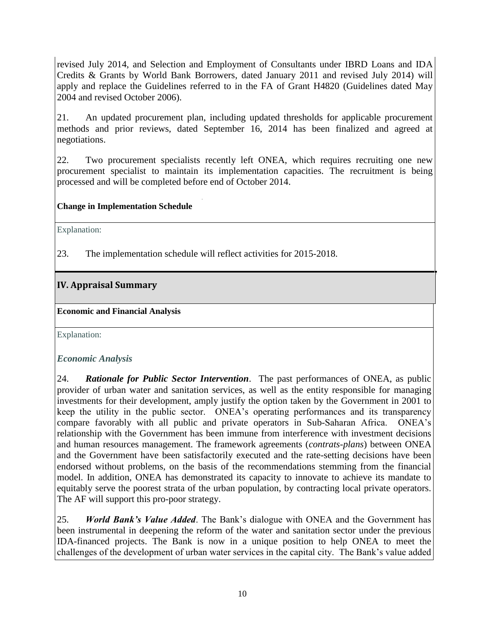revised July 2014, and Selection and Employment of Consultants under IBRD Loans and IDA Credits & Grants by World Bank Borrowers, dated January 2011 and revised July 2014) will apply and replace the Guidelines referred to in the FA of Grant H4820 (Guidelines dated May 2004 and revised October 2006).

21. An updated procurement plan, including updated thresholds for applicable procurement methods and prior reviews, dated September 16, 2014 has been finalized and agreed at negotiations.

22. Two procurement specialists recently left ONEA, which requires recruiting one new procurement specialist to maintain its implementation capacities. The recruitment is being processed and will be completed before end of October 2014.

## **Change in Implementation Schedule**

Explanation:

23. The implementation schedule will reflect activities for 2015-2018.

# <span id="page-17-0"></span>**IV. Appraisal Summary**

**Economic and Financial Analysis** 

Explanation:

## *Economic Analysis*

24. *Rationale for Public Sector Intervention*. The past performances of ONEA, as public provider of urban water and sanitation services, as well as the entity responsible for managing investments for their development, amply justify the option taken by the Government in 2001 to keep the utility in the public sector. ONEA's operating performances and its transparency compare favorably with all public and private operators in Sub-Saharan Africa. ONEA's relationship with the Government has been immune from interference with investment decisions and human resources management. The framework agreements (*contrats-plans*) between ONEA and the Government have been satisfactorily executed and the rate-setting decisions have been endorsed without problems, on the basis of the recommendations stemming from the financial model. In addition, ONEA has demonstrated its capacity to innovate to achieve its mandate to equitably serve the poorest strata of the urban population, by contracting local private operators. The AF will support this pro-poor strategy.

25. *World Bank's Value Added*. The Bank's dialogue with ONEA and the Government has been instrumental in deepening the reform of the water and sanitation sector under the previous IDA-financed projects. The Bank is now in a unique position to help ONEA to meet the challenges of the development of urban water services in the capital city. The Bank's value added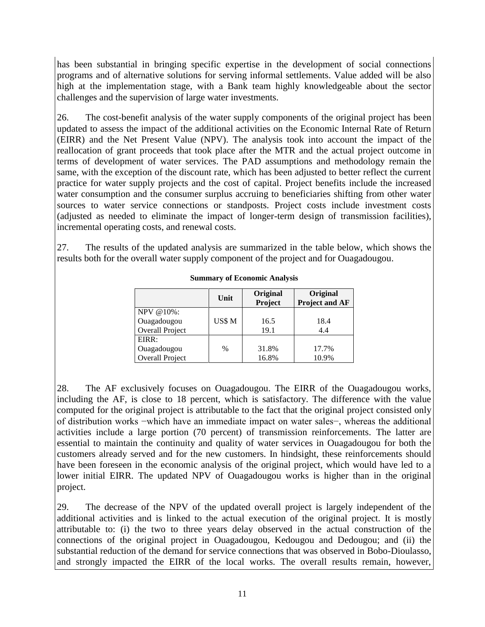has been substantial in bringing specific expertise in the development of social connections programs and of alternative solutions for serving informal settlements. Value added will be also high at the implementation stage, with a Bank team highly knowledgeable about the sector challenges and the supervision of large water investments.

26. The cost-benefit analysis of the water supply components of the original project has been updated to assess the impact of the additional activities on the Economic Internal Rate of Return (EIRR) and the Net Present Value (NPV). The analysis took into account the impact of the reallocation of grant proceeds that took place after the MTR and the actual project outcome in terms of development of water services. The PAD assumptions and methodology remain the same, with the exception of the discount rate, which has been adjusted to better reflect the current practice for water supply projects and the cost of capital. Project benefits include the increased water consumption and the consumer surplus accruing to beneficiaries shifting from other water sources to water service connections or standposts. Project costs include investment costs (adjusted as needed to eliminate the impact of longer-term design of transmission facilities), incremental operating costs, and renewal costs.

27. The results of the updated analysis are summarized in the table below, which shows the results both for the overall water supply component of the project and for Ouagadougou.

|                                                | Unit   | Original<br>Project | Original<br><b>Project and AF</b> |
|------------------------------------------------|--------|---------------------|-----------------------------------|
| NPV @10%:<br>Ouagadougou<br>Overall Project    | US\$ M | 16.5<br>19.1        | 18.4<br>4.4                       |
| EIRR:<br>Ouagadougou<br><b>Overall Project</b> | $\%$   | 31.8%<br>16.8%      | 17.7%<br>10.9%                    |

**Summary of Economic Analysis**

28. The AF exclusively focuses on Ouagadougou. The EIRR of the Ouagadougou works, including the AF, is close to 18 percent, which is satisfactory. The difference with the value computed for the original project is attributable to the fact that the original project consisted only of distribution works −which have an immediate impact on water sales−, whereas the additional activities include a large portion (70 percent) of transmission reinforcements. The latter are essential to maintain the continuity and quality of water services in Ouagadougou for both the customers already served and for the new customers. In hindsight, these reinforcements should have been foreseen in the economic analysis of the original project, which would have led to a lower initial EIRR. The updated NPV of Ouagadougou works is higher than in the original project.

29. The decrease of the NPV of the updated overall project is largely independent of the additional activities and is linked to the actual execution of the original project. It is mostly attributable to: (i) the two to three years delay observed in the actual construction of the connections of the original project in Ouagadougou, Kedougou and Dedougou; and (ii) the substantial reduction of the demand for service connections that was observed in Bobo-Dioulasso, and strongly impacted the EIRR of the local works. The overall results remain, however,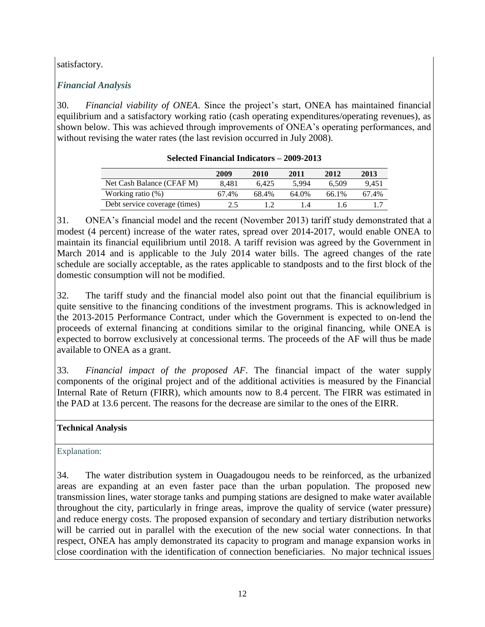satisfactory.

# *Financial Analysis*

30. *Financial viability of ONEA*. Since the project's start, ONEA has maintained financial equilibrium and a satisfactory working ratio (cash operating expenditures/operating revenues), as shown below. This was achieved through improvements of ONEA's operating performances, and without revising the water rates (the last revision occurred in July 2008).

|                               | 2009  | 2010  | 2011  | 2012  | 2013  |
|-------------------------------|-------|-------|-------|-------|-------|
| Net Cash Balance (CFAF M)     | 8.481 | 6.425 | 5.994 | 6.509 | 9.451 |
| Working ratio $(\%)$          | 67.4% | 68.4% | 64.0% | 66.1% | 67.4% |
| Debt service coverage (times) | 2.5   |       | IА    | 16    |       |

**Selected Financial Indicators – 2009-2013**

31. ONEA's financial model and the recent (November 2013) tariff study demonstrated that a modest (4 percent) increase of the water rates, spread over 2014-2017, would enable ONEA to maintain its financial equilibrium until 2018. A tariff revision was agreed by the Government in March 2014 and is applicable to the July 2014 water bills. The agreed changes of the rate schedule are socially acceptable, as the rates applicable to standposts and to the first block of the domestic consumption will not be modified.

32. The tariff study and the financial model also point out that the financial equilibrium is quite sensitive to the financing conditions of the investment programs. This is acknowledged in the 2013-2015 Performance Contract, under which the Government is expected to on-lend the proceeds of external financing at conditions similar to the original financing, while ONEA is expected to borrow exclusively at concessional terms. The proceeds of the AF will thus be made available to ONEA as a grant.

33. *Financial impact of the proposed AF*. The financial impact of the water supply components of the original project and of the additional activities is measured by the Financial Internal Rate of Return (FIRR), which amounts now to 8.4 percent. The FIRR was estimated in the PAD at 13.6 percent. The reasons for the decrease are similar to the ones of the EIRR.

# **Technical Analysis**

Explanation:

34. The water distribution system in Ouagadougou needs to be reinforced, as the urbanized areas are expanding at an even faster pace than the urban population. The proposed new transmission lines, water storage tanks and pumping stations are designed to make water available throughout the city, particularly in fringe areas, improve the quality of service (water pressure) and reduce energy costs. The proposed expansion of secondary and tertiary distribution networks will be carried out in parallel with the execution of the new social water connections. In that respect, ONEA has amply demonstrated its capacity to program and manage expansion works in close coordination with the identification of connection beneficiaries. No major technical issues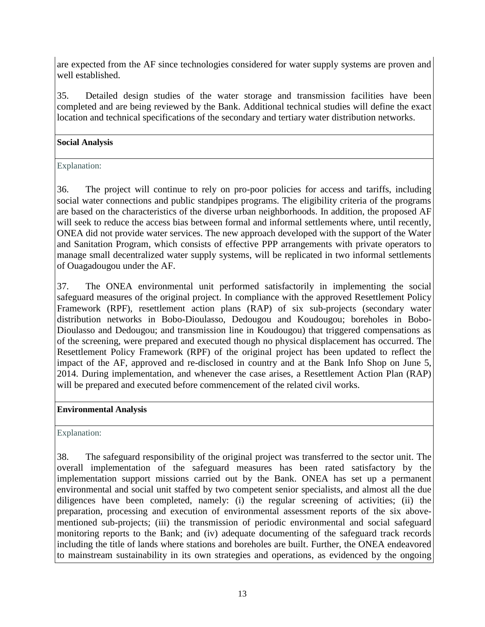are expected from the AF since technologies considered for water supply systems are proven and well established.

35. Detailed design studies of the water storage and transmission facilities have been completed and are being reviewed by the Bank. Additional technical studies will define the exact location and technical specifications of the secondary and tertiary water distribution networks.

## **Social Analysis**

## Explanation:

36. The project will continue to rely on pro-poor policies for access and tariffs, including social water connections and public standpipes programs. The eligibility criteria of the programs are based on the characteristics of the diverse urban neighborhoods. In addition, the proposed AF will seek to reduce the access bias between formal and informal settlements where, until recently, ONEA did not provide water services. The new approach developed with the support of the Water and Sanitation Program, which consists of effective PPP arrangements with private operators to manage small decentralized water supply systems, will be replicated in two informal settlements of Ouagadougou under the AF.

37. The ONEA environmental unit performed satisfactorily in implementing the social safeguard measures of the original project. In compliance with the approved Resettlement Policy Framework (RPF), resettlement action plans (RAP) of six sub-projects (secondary water distribution networks in Bobo-Dioulasso, Dedougou and Koudougou; boreholes in Bobo-Dioulasso and Dedougou; and transmission line in Koudougou) that triggered compensations as of the screening, were prepared and executed though no physical displacement has occurred. The Resettlement Policy Framework (RPF) of the original project has been updated to reflect the impact of the AF, approved and re-disclosed in country and at the Bank Info Shop on June 5, 2014. During implementation, and whenever the case arises, a Resettlement Action Plan (RAP) will be prepared and executed before commencement of the related civil works.

### **Environmental Analysis**

Explanation:

38. The safeguard responsibility of the original project was transferred to the sector unit. The overall implementation of the safeguard measures has been rated satisfactory by the implementation support missions carried out by the Bank. ONEA has set up a permanent environmental and social unit staffed by two competent senior specialists, and almost all the due diligences have been completed, namely: (i) the regular screening of activities; (ii) the preparation, processing and execution of environmental assessment reports of the six abovementioned sub-projects; (iii) the transmission of periodic environmental and social safeguard monitoring reports to the Bank; and (iv) adequate documenting of the safeguard track records including the title of lands where stations and boreholes are built. Further, the ONEA endeavored to mainstream sustainability in its own strategies and operations, as evidenced by the ongoing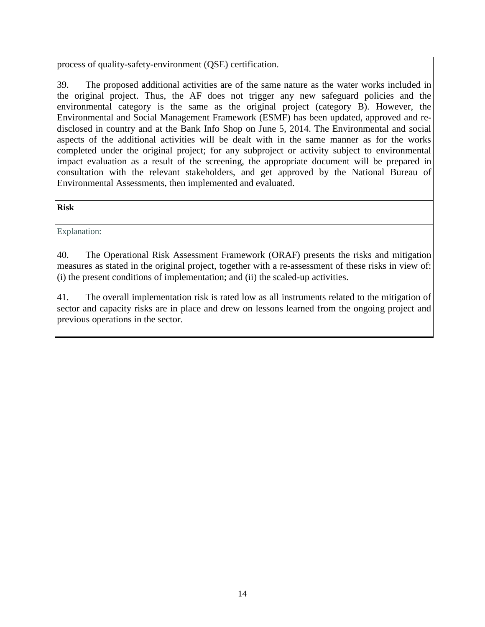process of quality-safety-environment (QSE) certification.

39. The proposed additional activities are of the same nature as the water works included in the original project. Thus, the AF does not trigger any new safeguard policies and the environmental category is the same as the original project (category B). However, the Environmental and Social Management Framework (ESMF) has been updated, approved and redisclosed in country and at the Bank Info Shop on June 5, 2014. The Environmental and social aspects of the additional activities will be dealt with in the same manner as for the works completed under the original project; for any subproject or activity subject to environmental impact evaluation as a result of the screening, the appropriate document will be prepared in consultation with the relevant stakeholders, and get approved by the National Bureau of Environmental Assessments, then implemented and evaluated.

### **Risk**

Explanation:

40. The Operational Risk Assessment Framework (ORAF) presents the risks and mitigation measures as stated in the original project, together with a re-assessment of these risks in view of: (i) the present conditions of implementation; and (ii) the scaled-up activities.

41. The overall implementation risk is rated low as all instruments related to the mitigation of sector and capacity risks are in place and drew on lessons learned from the ongoing project and previous operations in the sector.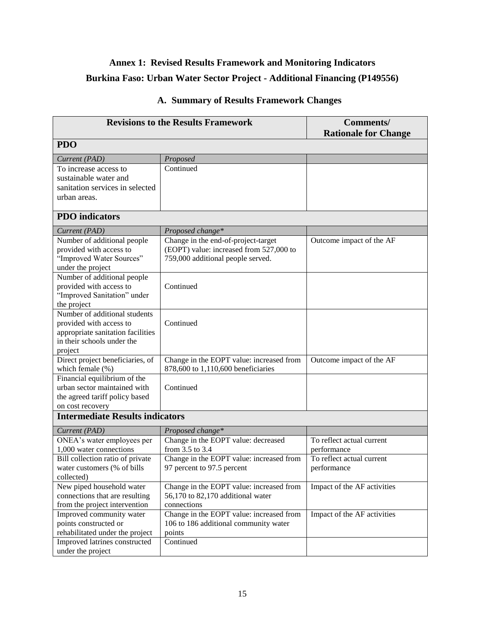# <span id="page-22-0"></span>**Annex 1: Revised Results Framework and Monitoring Indicators Burkina Faso: Urban Water Sector Project - Additional Financing (P149556)**

|                                                                 | <b>Revisions to the Results Framework</b>       | <b>Comments/</b><br><b>Rationale for Change</b> |
|-----------------------------------------------------------------|-------------------------------------------------|-------------------------------------------------|
| <b>PDO</b>                                                      |                                                 |                                                 |
| Current (PAD)                                                   | Proposed                                        |                                                 |
| To increase access to                                           | Continued                                       |                                                 |
| sustainable water and                                           |                                                 |                                                 |
| sanitation services in selected                                 |                                                 |                                                 |
| urban areas.                                                    |                                                 |                                                 |
| <b>PDO</b> indicators                                           |                                                 |                                                 |
| Current (PAD)                                                   | Proposed change*                                |                                                 |
| Number of additional people                                     | Change in the end-of-project-target             | Outcome impact of the AF                        |
| provided with access to                                         | (EOPT) value: increased from 527,000 to         |                                                 |
| "Improved Water Sources"                                        | 759,000 additional people served.               |                                                 |
| under the project                                               |                                                 |                                                 |
| Number of additional people                                     |                                                 |                                                 |
| provided with access to                                         | Continued                                       |                                                 |
| "Improved Sanitation" under                                     |                                                 |                                                 |
| the project                                                     |                                                 |                                                 |
| Number of additional students                                   |                                                 |                                                 |
| provided with access to                                         | Continued                                       |                                                 |
| appropriate sanitation facilities<br>in their schools under the |                                                 |                                                 |
| project                                                         |                                                 |                                                 |
| Direct project beneficiaries, of                                | Change in the EOPT value: increased from        | Outcome impact of the AF                        |
| which female (%)                                                | 878,600 to 1,110,600 beneficiaries              |                                                 |
| Financial equilibrium of the                                    |                                                 |                                                 |
| urban sector maintained with                                    | Continued                                       |                                                 |
| the agreed tariff policy based                                  |                                                 |                                                 |
| on cost recovery                                                |                                                 |                                                 |
| <b>Intermediate Results indicators</b>                          |                                                 |                                                 |
| Current (PAD)                                                   | Proposed change*                                |                                                 |
| ONEA's water employees per                                      | Change in the EOPT value: decreased             | To reflect actual current                       |
| 1,000 water connections                                         | from 3.5 to 3.4                                 | performance                                     |
| Bill collection ratio of private                                | Change in the EOPT value: increased from        | To reflect actual current                       |
| water customers (% of bills                                     | 97 percent to 97.5 percent                      | performance                                     |
| collected)                                                      |                                                 |                                                 |
| New piped household water                                       | Change in the EOPT value: increased from        | Impact of the AF activities                     |
| connections that are resulting                                  | 56,170 to 82,170 additional water               |                                                 |
| from the project intervention                                   | connections                                     |                                                 |
| Improved community water                                        | Change in the EOPT value: increased from        | Impact of the AF activities                     |
| points constructed or<br>rehabilitated under the project        | 106 to 186 additional community water<br>points |                                                 |
| Improved latrines constructed                                   | Continued                                       |                                                 |
| under the project                                               |                                                 |                                                 |
|                                                                 |                                                 |                                                 |

# **A. Summary of Results Framework Changes**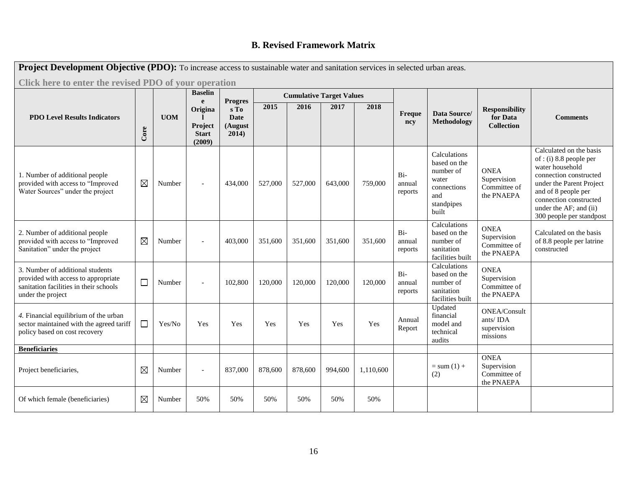# **B. Revised Framework Matrix**

| Project Development Objective (PDO): To increase access to sustainable water and sanitation services in selected urban areas.          |             |            |                                                              |                                                           |         |         |                                 |           |                            |                                                                                                 |                                                            |                                                                                                                                                                                                                                   |
|----------------------------------------------------------------------------------------------------------------------------------------|-------------|------------|--------------------------------------------------------------|-----------------------------------------------------------|---------|---------|---------------------------------|-----------|----------------------------|-------------------------------------------------------------------------------------------------|------------------------------------------------------------|-----------------------------------------------------------------------------------------------------------------------------------------------------------------------------------------------------------------------------------|
| Click here to enter the revised PDO of your operation                                                                                  |             |            |                                                              |                                                           |         |         |                                 |           |                            |                                                                                                 |                                                            |                                                                                                                                                                                                                                   |
|                                                                                                                                        |             |            | <b>Baselin</b>                                               |                                                           |         |         | <b>Cumulative Target Values</b> |           |                            |                                                                                                 |                                                            |                                                                                                                                                                                                                                   |
| <b>PDO Level Results Indicators</b>                                                                                                    | Core        | <b>UOM</b> | $\mathbf{e}$<br>Origina<br>Project<br><b>Start</b><br>(2009) | <b>Progres</b><br>s To<br><b>Date</b><br>(August<br>2014) | 2015    | 2016    | 2017                            | 2018      | Freque<br>ncy              | Data Source/<br><b>Methodology</b>                                                              | <b>Responsibility</b><br>for Data<br><b>Collection</b>     | <b>Comments</b>                                                                                                                                                                                                                   |
| 1. Number of additional people<br>provided with access to "Improved<br>Water Sources" under the project                                | $\boxtimes$ | Number     |                                                              | 434,000                                                   | 527,000 | 527,000 | 643,000                         | 759,000   | $Bi-$<br>annual<br>reports | Calculations<br>based on the<br>number of<br>water<br>connections<br>and<br>standpipes<br>built | <b>ONEA</b><br>Supervision<br>Committee of<br>the PNAEPA   | Calculated on the basis<br>of: (i) 8.8 people per<br>water household<br>connection constructed<br>under the Parent Project<br>and of 8 people per<br>connection constructed<br>under the AF; and (ii)<br>300 people per standpost |
| 2. Number of additional people<br>provided with access to "Improved<br>Sanitation" under the project                                   | $\boxtimes$ | Number     |                                                              | 403,000                                                   | 351,600 | 351,600 | 351,600                         | 351,600   | $Bi-$<br>annual<br>reports | Calculations<br>based on the<br>number of<br>sanitation<br>facilities built                     | <b>ONEA</b><br>Supervision<br>Committee of<br>the PNAEPA   | Calculated on the basis<br>of 8.8 people per latrine<br>constructed                                                                                                                                                               |
| 3. Number of additional students<br>provided with access to appropriate<br>sanitation facilities in their schools<br>under the project | $\Box$      | Number     |                                                              | 102,800                                                   | 120,000 | 120,000 | 120,000                         | 120,000   | Bi-<br>annual<br>reports   | Calculations<br>based on the<br>number of<br>sanitation<br>facilities built                     | <b>ONEA</b><br>Supervision<br>Committee of<br>the PNAEPA   |                                                                                                                                                                                                                                   |
| 4. Financial equilibrium of the urban<br>sector maintained with the agreed tariff<br>policy based on cost recovery                     | $\Box$      | Yes/No     | Yes                                                          | Yes                                                       | Yes     | Yes     | Yes                             | Yes       | Annual<br>Report           | Updated<br>financial<br>model and<br>technical<br>audits                                        | <b>ONEA/Consult</b><br>ants/IDA<br>supervision<br>missions |                                                                                                                                                                                                                                   |
| <b>Beneficiaries</b>                                                                                                                   |             |            |                                                              |                                                           |         |         |                                 |           |                            |                                                                                                 |                                                            |                                                                                                                                                                                                                                   |
| Project beneficiaries,                                                                                                                 | ⊠           | Number     |                                                              | 837,000                                                   | 878,600 | 878,600 | 994,600                         | 1,110,600 |                            | $= sum(1) +$<br>(2)                                                                             | <b>ONEA</b><br>Supervision<br>Committee of<br>the PNAEPA   |                                                                                                                                                                                                                                   |
| Of which female (beneficiaries)                                                                                                        | $\boxtimes$ | Number     | 50%                                                          | 50%                                                       | 50%     | 50%     | 50%                             | 50%       |                            |                                                                                                 |                                                            |                                                                                                                                                                                                                                   |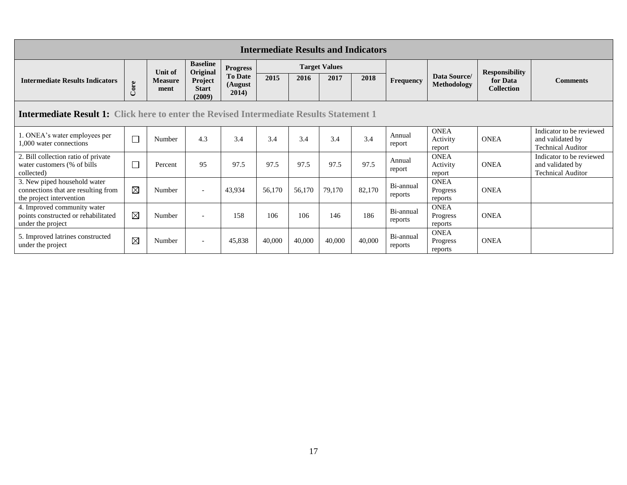| <b>Intermediate Results and Indicators</b>                                                      |             |                        |                                   |                                    |        |        |                      |        |                      |                                    |                               |                                                                          |
|-------------------------------------------------------------------------------------------------|-------------|------------------------|-----------------------------------|------------------------------------|--------|--------|----------------------|--------|----------------------|------------------------------------|-------------------------------|--------------------------------------------------------------------------|
|                                                                                                 |             | Unit of                | <b>Baseline</b><br>Original       | <b>Progress</b>                    |        |        | <b>Target Values</b> |        |                      |                                    | <b>Responsibility</b>         |                                                                          |
| <b>Intermediate Results Indicators</b>                                                          | Core        | <b>Measure</b><br>ment | Project<br><b>Start</b><br>(2009) | <b>To Date</b><br>(August<br>2014) | 2015   | 2016   | 2017                 | 2018   | Frequency            | Data Source/<br><b>Methodology</b> | for Data<br><b>Collection</b> | <b>Comments</b>                                                          |
| <b>Intermediate Result 1:</b> Click here to enter the Revised Intermediate Results Statement 1  |             |                        |                                   |                                    |        |        |                      |        |                      |                                    |                               |                                                                          |
| 1. ONEA's water employees per<br>1,000 water connections                                        | $\Box$      | Number                 | 4.3                               | 3.4                                | 3.4    | 3.4    | 3.4                  | 3.4    | Annual<br>report     | <b>ONEA</b><br>Activity<br>report  | <b>ONEA</b>                   | Indicator to be reviewed<br>and validated by<br><b>Technical Auditor</b> |
| 2. Bill collection ratio of private<br>water customers (% of bills)<br>collected)               | Г           | Percent                | 95                                | 97.5                               | 97.5   | 97.5   | 97.5                 | 97.5   | Annual<br>report     | <b>ONEA</b><br>Activity<br>report  | <b>ONEA</b>                   | Indicator to be reviewed<br>and validated by<br><b>Technical Auditor</b> |
| 3. New piped household water<br>connections that are resulting from<br>the project intervention | $\boxtimes$ | Number                 | $\overline{\phantom{a}}$          | 43,934                             | 56,170 | 56,170 | 79,170               | 82,170 | Bi-annual<br>reports | <b>ONEA</b><br>Progress<br>reports | <b>ONEA</b>                   |                                                                          |
| 4. Improved community water<br>points constructed or rehabilitated<br>under the project         | ⊠           | Number                 | $\overline{\phantom{0}}$          | 158                                | 106    | 106    | 146                  | 186    | Bi-annual<br>reports | <b>ONEA</b><br>Progress<br>reports | <b>ONEA</b>                   |                                                                          |
| 5. Improved latrines constructed<br>under the project                                           | $\boxtimes$ | Number                 | $\overline{\phantom{a}}$          | 45,838                             | 40,000 | 40,000 | 40,000               | 40,000 | Bi-annual<br>reports | <b>ONEA</b><br>Progress<br>reports | <b>ONEA</b>                   |                                                                          |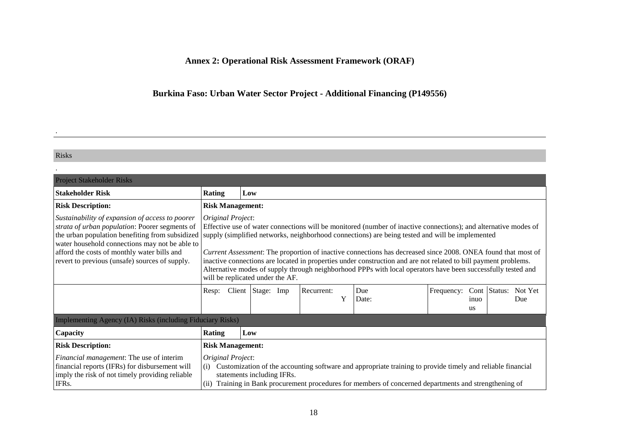# **Annex 2: Operational Risk Assessment Framework (ORAF)**

# **Burkina Faso: Urban Water Sector Project - Additional Financing (P149556)**

#### Risks

.

<span id="page-25-0"></span>

| <b>Project Stakeholder Risks</b>                                                                                                                                                                                                                                                                        |                                                                                                                                                                                                                                                                                                                                                                                                                                                                                                                                                                                                                                |                                                                                                                                                                                                                                                                    |                   |  |            |   |              |            |                   |              |                |
|---------------------------------------------------------------------------------------------------------------------------------------------------------------------------------------------------------------------------------------------------------------------------------------------------------|--------------------------------------------------------------------------------------------------------------------------------------------------------------------------------------------------------------------------------------------------------------------------------------------------------------------------------------------------------------------------------------------------------------------------------------------------------------------------------------------------------------------------------------------------------------------------------------------------------------------------------|--------------------------------------------------------------------------------------------------------------------------------------------------------------------------------------------------------------------------------------------------------------------|-------------------|--|------------|---|--------------|------------|-------------------|--------------|----------------|
| <b>Stakeholder Risk</b>                                                                                                                                                                                                                                                                                 | <b>Rating</b>                                                                                                                                                                                                                                                                                                                                                                                                                                                                                                                                                                                                                  |                                                                                                                                                                                                                                                                    | Low               |  |            |   |              |            |                   |              |                |
| <b>Risk Description:</b>                                                                                                                                                                                                                                                                                |                                                                                                                                                                                                                                                                                                                                                                                                                                                                                                                                                                                                                                | <b>Risk Management:</b>                                                                                                                                                                                                                                            |                   |  |            |   |              |            |                   |              |                |
| Sustainability of expansion of access to poorer<br>strata of urban population: Poorer segments of<br>the urban population benefiting from subsidized<br>water household connections may not be able to<br>afford the costs of monthly water bills and<br>revert to previous (unsafe) sources of supply. | Original Project:<br>Effective use of water connections will be monitored (number of inactive connections); and alternative modes of<br>supply (simplified networks, neighborhood connections) are being tested and will be implemented<br>Current Assessment: The proportion of inactive connections has decreased since 2008. ONEA found that most of<br>inactive connections are located in properties under construction and are not related to bill payment problems.<br>Alternative modes of supply through neighborhood PPPs with local operators have been successfully tested and<br>will be replicated under the AF. |                                                                                                                                                                                                                                                                    |                   |  |            |   |              |            |                   |              |                |
|                                                                                                                                                                                                                                                                                                         | Resp:                                                                                                                                                                                                                                                                                                                                                                                                                                                                                                                                                                                                                          |                                                                                                                                                                                                                                                                    | Client Stage: Imp |  | Recurrent: | Y | Due<br>Date: | Frequency: | inuo<br><b>us</b> | Cont Status: | Not Yet<br>Due |
| Implementing Agency (IA) Risks (including Fiduciary Risks)                                                                                                                                                                                                                                              |                                                                                                                                                                                                                                                                                                                                                                                                                                                                                                                                                                                                                                |                                                                                                                                                                                                                                                                    |                   |  |            |   |              |            |                   |              |                |
| Capacity                                                                                                                                                                                                                                                                                                | <b>Rating</b>                                                                                                                                                                                                                                                                                                                                                                                                                                                                                                                                                                                                                  |                                                                                                                                                                                                                                                                    | Low               |  |            |   |              |            |                   |              |                |
| <b>Risk Description:</b>                                                                                                                                                                                                                                                                                | <b>Risk Management:</b>                                                                                                                                                                                                                                                                                                                                                                                                                                                                                                                                                                                                        |                                                                                                                                                                                                                                                                    |                   |  |            |   |              |            |                   |              |                |
| <i>Financial management:</i> The use of interim<br>financial reports (IFRs) for disbursement will<br>imply the risk of not timely providing reliable<br>IFRs.                                                                                                                                           | (i)<br>(ii)                                                                                                                                                                                                                                                                                                                                                                                                                                                                                                                                                                                                                    | Original Project:<br>Customization of the accounting software and appropriate training to provide timely and reliable financial<br>statements including IFRs.<br>Training in Bank procurement procedures for members of concerned departments and strengthening of |                   |  |            |   |              |            |                   |              |                |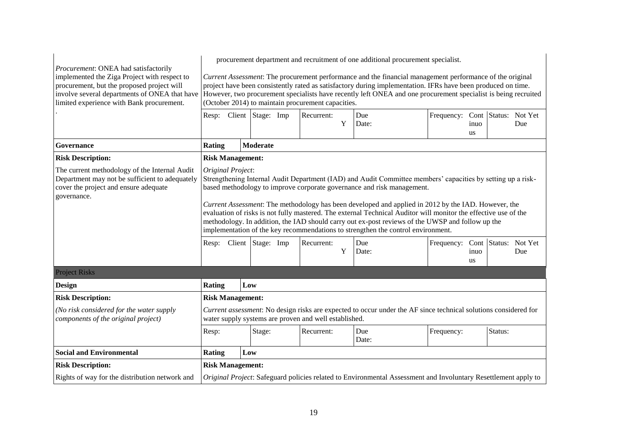| Procurement: ONEA had satisfactorily                                                                                                                                                     | procurement department and recruitment of one additional procurement specialist.                                                                                                                                                                                                                                                                                                                                                                                                                                                                                                                                             |  |                         |  |                                                       |   |                                                                                                                 |                                 |                   |         |     |
|------------------------------------------------------------------------------------------------------------------------------------------------------------------------------------------|------------------------------------------------------------------------------------------------------------------------------------------------------------------------------------------------------------------------------------------------------------------------------------------------------------------------------------------------------------------------------------------------------------------------------------------------------------------------------------------------------------------------------------------------------------------------------------------------------------------------------|--|-------------------------|--|-------------------------------------------------------|---|-----------------------------------------------------------------------------------------------------------------|---------------------------------|-------------------|---------|-----|
| implemented the Ziga Project with respect to<br>procurement, but the proposed project will<br>involve several departments of ONEA that have<br>limited experience with Bank procurement. | Current Assessment: The procurement performance and the financial management performance of the original<br>project have been consistently rated as satisfactory during implementation. IFRs have been produced on time.<br>However, two procurement specialists have recently left ONEA and one procurement specialist is being recruited<br>(October 2014) to maintain procurement capacities.                                                                                                                                                                                                                             |  |                         |  |                                                       |   |                                                                                                                 |                                 |                   |         |     |
|                                                                                                                                                                                          |                                                                                                                                                                                                                                                                                                                                                                                                                                                                                                                                                                                                                              |  | Resp: Client Stage: Imp |  | Recurrent:                                            | Y | Due<br>Date:                                                                                                    | Frequency: Cont Status: Not Yet | inuo<br><b>us</b> |         | Due |
| Governance                                                                                                                                                                               | <b>Rating</b>                                                                                                                                                                                                                                                                                                                                                                                                                                                                                                                                                                                                                |  | Moderate                |  |                                                       |   |                                                                                                                 |                                 |                   |         |     |
| <b>Risk Description:</b>                                                                                                                                                                 | <b>Risk Management:</b>                                                                                                                                                                                                                                                                                                                                                                                                                                                                                                                                                                                                      |  |                         |  |                                                       |   |                                                                                                                 |                                 |                   |         |     |
| The current methodology of the Internal Audit<br>Department may not be sufficient to adequately<br>cover the project and ensure adequate<br>governance.                                  | Original Project:<br>Strengthening Internal Audit Department (IAD) and Audit Committee members' capacities by setting up a risk-<br>based methodology to improve corporate governance and risk management.<br>Current Assessment: The methodology has been developed and applied in 2012 by the IAD. However, the<br>evaluation of risks is not fully mastered. The external Technical Auditor will monitor the effective use of the<br>methodology. In addition, the IAD should carry out ex-post reviews of the UWSP and follow up the<br>implementation of the key recommendations to strengthen the control environment. |  |                         |  |                                                       |   |                                                                                                                 |                                 |                   |         |     |
|                                                                                                                                                                                          |                                                                                                                                                                                                                                                                                                                                                                                                                                                                                                                                                                                                                              |  | Resp: Client Stage: Imp |  | Recurrent:                                            | Y | Due<br>Date:                                                                                                    | Frequency: Cont Status: Not Yet | inuo              |         |     |
|                                                                                                                                                                                          |                                                                                                                                                                                                                                                                                                                                                                                                                                                                                                                                                                                                                              |  |                         |  |                                                       |   |                                                                                                                 |                                 | <b>us</b>         |         | Due |
| <b>Project Risks</b>                                                                                                                                                                     |                                                                                                                                                                                                                                                                                                                                                                                                                                                                                                                                                                                                                              |  |                         |  |                                                       |   |                                                                                                                 |                                 |                   |         |     |
|                                                                                                                                                                                          | <b>Rating</b>                                                                                                                                                                                                                                                                                                                                                                                                                                                                                                                                                                                                                |  | Low                     |  |                                                       |   |                                                                                                                 |                                 |                   |         |     |
| <b>Risk Description:</b>                                                                                                                                                                 | <b>Risk Management:</b>                                                                                                                                                                                                                                                                                                                                                                                                                                                                                                                                                                                                      |  |                         |  |                                                       |   |                                                                                                                 |                                 |                   |         |     |
|                                                                                                                                                                                          |                                                                                                                                                                                                                                                                                                                                                                                                                                                                                                                                                                                                                              |  |                         |  | water supply systems are proven and well established. |   | Current assessment: No design risks are expected to occur under the AF since technical solutions considered for |                                 |                   |         |     |
| (No risk considered for the water supply<br>components of the original project)                                                                                                          | Resp:                                                                                                                                                                                                                                                                                                                                                                                                                                                                                                                                                                                                                        |  | Stage:                  |  | Recurrent:                                            |   | Due<br>Date:                                                                                                    | Frequency:                      |                   | Status: |     |
|                                                                                                                                                                                          | <b>Rating</b>                                                                                                                                                                                                                                                                                                                                                                                                                                                                                                                                                                                                                |  | Low                     |  |                                                       |   |                                                                                                                 |                                 |                   |         |     |
| <b>Design</b><br><b>Social and Environmental</b><br><b>Risk Description:</b>                                                                                                             | <b>Risk Management:</b>                                                                                                                                                                                                                                                                                                                                                                                                                                                                                                                                                                                                      |  |                         |  |                                                       |   |                                                                                                                 |                                 |                   |         |     |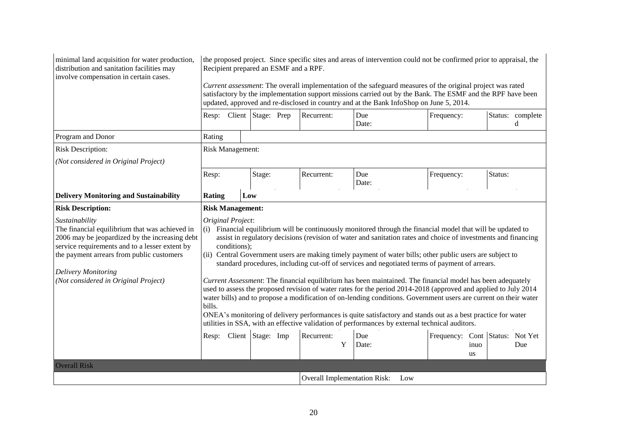| minimal land acquisition for water production,<br>distribution and sanitation facilities may<br>involve compensation in certain cases.                                                                                                                                                  | the proposed project. Since specific sites and areas of intervention could not be confirmed prior to appraisal, the<br>Recipient prepared an ESMF and a RPF.                                                                                                                                                                                                                                                                                                                                                                                                                                                                                                                                                                                                                                                                                                                                                                                                                                                                                                           |     |        |  |                                     |              |     |                                   |            |         |                       |
|-----------------------------------------------------------------------------------------------------------------------------------------------------------------------------------------------------------------------------------------------------------------------------------------|------------------------------------------------------------------------------------------------------------------------------------------------------------------------------------------------------------------------------------------------------------------------------------------------------------------------------------------------------------------------------------------------------------------------------------------------------------------------------------------------------------------------------------------------------------------------------------------------------------------------------------------------------------------------------------------------------------------------------------------------------------------------------------------------------------------------------------------------------------------------------------------------------------------------------------------------------------------------------------------------------------------------------------------------------------------------|-----|--------|--|-------------------------------------|--------------|-----|-----------------------------------|------------|---------|-----------------------|
|                                                                                                                                                                                                                                                                                         | Current assessment: The overall implementation of the safeguard measures of the original project was rated<br>satisfactory by the implementation support missions carried out by the Bank. The ESMF and the RPF have been<br>updated, approved and re-disclosed in country and at the Bank InfoShop on June 5, 2014.                                                                                                                                                                                                                                                                                                                                                                                                                                                                                                                                                                                                                                                                                                                                                   |     |        |  |                                     |              |     |                                   |            |         |                       |
|                                                                                                                                                                                                                                                                                         | Resp: Client Stage: Prep                                                                                                                                                                                                                                                                                                                                                                                                                                                                                                                                                                                                                                                                                                                                                                                                                                                                                                                                                                                                                                               |     |        |  | Recurrent:                          | Due<br>Date: |     | Frequency:                        |            |         | Status: complete<br>d |
| Program and Donor                                                                                                                                                                                                                                                                       | Rating                                                                                                                                                                                                                                                                                                                                                                                                                                                                                                                                                                                                                                                                                                                                                                                                                                                                                                                                                                                                                                                                 |     |        |  |                                     |              |     |                                   |            |         |                       |
| <b>Risk Description:</b>                                                                                                                                                                                                                                                                | Risk Management:                                                                                                                                                                                                                                                                                                                                                                                                                                                                                                                                                                                                                                                                                                                                                                                                                                                                                                                                                                                                                                                       |     |        |  |                                     |              |     |                                   |            |         |                       |
| (Not considered in Original Project)                                                                                                                                                                                                                                                    |                                                                                                                                                                                                                                                                                                                                                                                                                                                                                                                                                                                                                                                                                                                                                                                                                                                                                                                                                                                                                                                                        |     |        |  |                                     |              |     |                                   |            |         |                       |
|                                                                                                                                                                                                                                                                                         | Resp:                                                                                                                                                                                                                                                                                                                                                                                                                                                                                                                                                                                                                                                                                                                                                                                                                                                                                                                                                                                                                                                                  |     | Stage: |  | Recurrent:                          | Due<br>Date: |     | Frequency:                        |            | Status: |                       |
| <b>Delivery Monitoring and Sustainability</b>                                                                                                                                                                                                                                           | Rating                                                                                                                                                                                                                                                                                                                                                                                                                                                                                                                                                                                                                                                                                                                                                                                                                                                                                                                                                                                                                                                                 | Low |        |  |                                     |              |     |                                   |            |         |                       |
| <b>Risk Description:</b>                                                                                                                                                                                                                                                                | <b>Risk Management:</b>                                                                                                                                                                                                                                                                                                                                                                                                                                                                                                                                                                                                                                                                                                                                                                                                                                                                                                                                                                                                                                                |     |        |  |                                     |              |     |                                   |            |         |                       |
| Sustainability<br>The financial equilibrium that was achieved in<br>2006 may be jeopardized by the increasing debt<br>service requirements and to a lesser extent by<br>the payment arrears from public customers<br><b>Delivery Monitoring</b><br>(Not considered in Original Project) | Original Project:<br>Financial equilibrium will be continuously monitored through the financial model that will be updated to<br>(i)<br>assist in regulatory decisions (revision of water and sanitation rates and choice of investments and financing<br>conditions);<br>(ii) Central Government users are making timely payment of water bills; other public users are subject to<br>standard procedures, including cut-off of services and negotiated terms of payment of arrears.<br>Current Assessment: The financial equilibrium has been maintained. The financial model has been adequately<br>used to assess the proposed revision of water rates for the period 2014-2018 (approved and applied to July 2014<br>water bills) and to propose a modification of on-lending conditions. Government users are current on their water<br>bills.<br>ONEA's monitoring of delivery performances is quite satisfactory and stands out as a best practice for water<br>utilities in SSA, with an effective validation of performances by external technical auditors. |     |        |  |                                     |              |     |                                   |            |         |                       |
|                                                                                                                                                                                                                                                                                         | Resp: Client Stage: Imp                                                                                                                                                                                                                                                                                                                                                                                                                                                                                                                                                                                                                                                                                                                                                                                                                                                                                                                                                                                                                                                |     |        |  | Recurrent:<br>Y                     | Due<br>Date: |     | Frequency: Cont   Status: Not Yet | inuo<br>us |         | Due                   |
| <b>Overall Risk</b>                                                                                                                                                                                                                                                                     |                                                                                                                                                                                                                                                                                                                                                                                                                                                                                                                                                                                                                                                                                                                                                                                                                                                                                                                                                                                                                                                                        |     |        |  |                                     |              |     |                                   |            |         |                       |
|                                                                                                                                                                                                                                                                                         |                                                                                                                                                                                                                                                                                                                                                                                                                                                                                                                                                                                                                                                                                                                                                                                                                                                                                                                                                                                                                                                                        |     |        |  | <b>Overall Implementation Risk:</b> |              | Low |                                   |            |         |                       |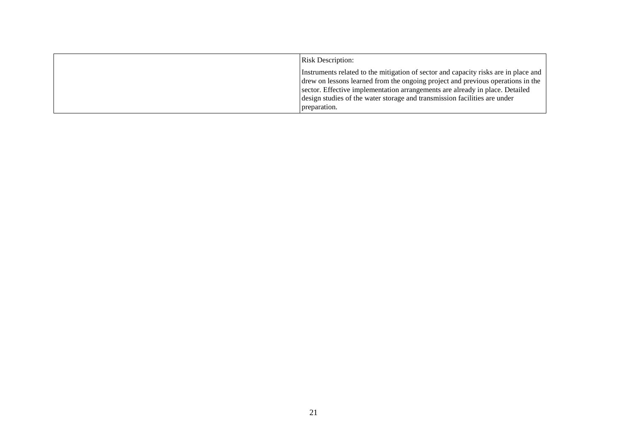| <b>Risk Description:</b>                                                                                                                                                                                                                                                                                                                            |
|-----------------------------------------------------------------------------------------------------------------------------------------------------------------------------------------------------------------------------------------------------------------------------------------------------------------------------------------------------|
| Instruments related to the mitigation of sector and capacity risks are in place and<br>drew on lessons learned from the ongoing project and previous operations in the<br>sector. Effective implementation arrangements are already in place. Detailed<br>design studies of the water storage and transmission facilities are under<br>preparation. |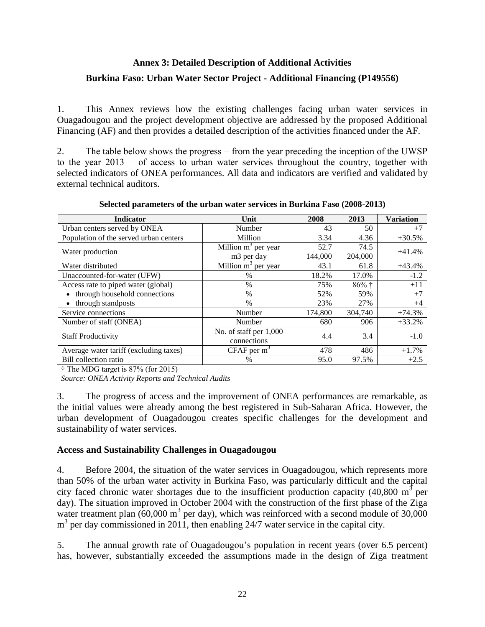# <span id="page-29-0"></span>**Annex 3: Detailed Description of Additional Activities Burkina Faso: Urban Water Sector Project - Additional Financing (P149556)**

1. This Annex reviews how the existing challenges facing urban water services in Ouagadougou and the project development objective are addressed by the proposed Additional Financing (AF) and then provides a detailed description of the activities financed under the AF.

2. The table below shows the progress − from the year preceding the inception of the UWSP to the year 2013 − of access to urban water services throughout the country, together with selected indicators of ONEA performances. All data and indicators are verified and validated by external technical auditors.

| <b>Indicator</b>                       | Unit                            | 2008    | 2013    | <b>Variation</b> |  |
|----------------------------------------|---------------------------------|---------|---------|------------------|--|
| Urban centers served by ONEA           | Number                          | 43      | 50      | $+7$             |  |
| Population of the served urban centers | Million                         | 3.34    | 4.36    | $+30.5%$         |  |
|                                        | Million $m^3$ per year          | 52.7    | 74.5    | $+41.4%$         |  |
| Water production                       | m <sub>3</sub> per day          | 144,000 | 204,000 |                  |  |
| Water distributed                      | Million m <sup>3</sup> per year | 43.1    | 61.8    | $+43.4%$         |  |
| Unaccounted-for-water (UFW)            | $\%$                            | 18.2%   | 17.0%   | $-1.2$           |  |
| Access rate to piped water (global)    | $\frac{0}{0}$                   | 75%     | $86%$ † | $+11$            |  |
| through household connections          | $\%$                            | 52%     | 59%     | $+7$             |  |
| through standposts                     | $\%$                            | 23%     | 27%     | $+4$             |  |
| Service connections                    | Number                          | 174.800 | 304,740 | $+74.3%$         |  |
| Number of staff (ONEA)                 | Number                          | 680     | 906     | $+33.2%$         |  |
|                                        | No. of staff per $1,000$        | 4.4     | 3.4     | $-1.0$           |  |
| <b>Staff Productivity</b>              | connections                     |         |         |                  |  |
| Average water tariff (excluding taxes) | $CFAF$ per m <sup>3</sup>       | 478     | 486     | $+1.7%$          |  |
| Bill collection ratio                  | $\%$                            | 95.0    | 97.5%   | $+2.5$           |  |

**Selected parameters of the urban water services in Burkina Faso (2008-2013)**

† The MDG target is 87% (for 2015)

 *Source: ONEA Activity Reports and Technical Audits*

3. The progress of access and the improvement of ONEA performances are remarkable, as the initial values were already among the best registered in Sub-Saharan Africa. However, the urban development of Ouagadougou creates specific challenges for the development and sustainability of water services.

## **Access and Sustainability Challenges in Ouagadougou**

4. Before 2004, the situation of the water services in Ouagadougou, which represents more than 50% of the urban water activity in Burkina Faso, was particularly difficult and the capital city faced chronic water shortages due to the insufficient production capacity  $(40,800 \text{ m}^3 \text{ per})$ day). The situation improved in October 2004 with the construction of the first phase of the Ziga water treatment plan  $(60,000 \text{ m}^3 \text{ per day})$ , which was reinforced with a second module of 30,000 m<sup>3</sup> per day commissioned in 2011, then enabling 24/7 water service in the capital city.

5. The annual growth rate of Ouagadougou's population in recent years (over 6.5 percent) has, however, substantially exceeded the assumptions made in the design of Ziga treatment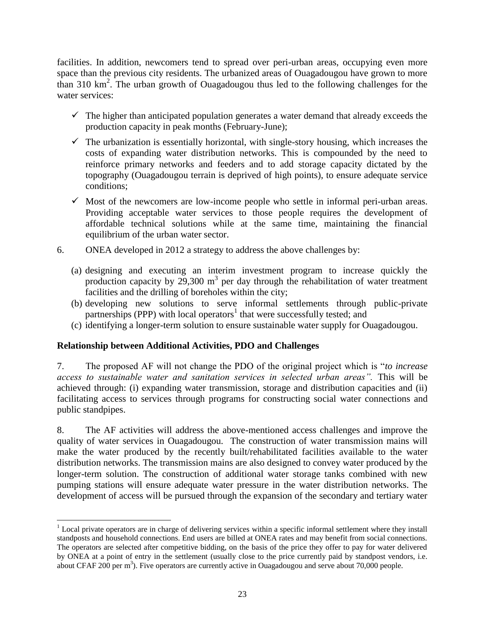facilities. In addition, newcomers tend to spread over peri-urban areas, occupying even more space than the previous city residents. The urbanized areas of Ouagadougou have grown to more than 310 km<sup>2</sup> . The urban growth of Ouagadougou thus led to the following challenges for the water services:

- $\checkmark$  The higher than anticipated population generates a water demand that already exceeds the production capacity in peak months (February-June);
- $\checkmark$  The urbanization is essentially horizontal, with single-story housing, which increases the costs of expanding water distribution networks. This is compounded by the need to reinforce primary networks and feeders and to add storage capacity dictated by the topography (Ouagadougou terrain is deprived of high points), to ensure adequate service conditions;
- $\checkmark$  Most of the newcomers are low-income people who settle in informal peri-urban areas. Providing acceptable water services to those people requires the development of affordable technical solutions while at the same time, maintaining the financial equilibrium of the urban water sector.
- 6. ONEA developed in 2012 a strategy to address the above challenges by:
	- (a) designing and executing an interim investment program to increase quickly the production capacity by  $29,300 \text{ m}^3$  per day through the rehabilitation of water treatment facilities and the drilling of boreholes within the city;
	- (b) developing new solutions to serve informal settlements through public-private partnerships (PPP) with local operators<sup>1</sup> that were successfully tested; and
	- (c) identifying a longer-term solution to ensure sustainable water supply for Ouagadougou.

## **Relationship between Additional Activities, PDO and Challenges**

7. The proposed AF will not change the PDO of the original project which is "*to increase access to sustainable water and sanitation services in selected urban areas".* This will be achieved through: (i) expanding water transmission, storage and distribution capacities and (ii) facilitating access to services through programs for constructing social water connections and public standpipes.

8. The AF activities will address the above-mentioned access challenges and improve the quality of water services in Ouagadougou. The construction of water transmission mains will make the water produced by the recently built/rehabilitated facilities available to the water distribution networks. The transmission mains are also designed to convey water produced by the longer-term solution. The construction of additional water storage tanks combined with new pumping stations will ensure adequate water pressure in the water distribution networks. The development of access will be pursued through the expansion of the secondary and tertiary water

 $\overline{a}$ <sup>1</sup> Local private operators are in charge of delivering services within a specific informal settlement where they install standposts and household connections. End users are billed at ONEA rates and may benefit from social connections. The operators are selected after competitive bidding, on the basis of the price they offer to pay for water delivered by ONEA at a point of entry in the settlement (usually close to the price currently paid by standpost vendors, i.e. about CFAF 200 per  $m<sup>3</sup>$ ). Five operators are currently active in Ouagadougou and serve about 70,000 people.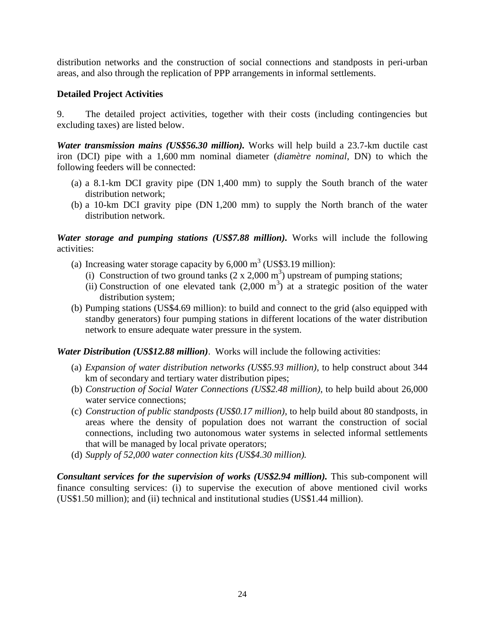distribution networks and the construction of social connections and standposts in peri-urban areas, and also through the replication of PPP arrangements in informal settlements.

## **Detailed Project Activities**

9. The detailed project activities, together with their costs (including contingencies but excluding taxes) are listed below.

*Water transmission mains (US\$56.30 million).* Works will help build a 23.7-km ductile cast iron (DCI) pipe with a 1,600 mm nominal diameter (*diamètre nominal*, DN) to which the following feeders will be connected:

- (a) a 8.1-km DCI gravity pipe (DN 1,400 mm) to supply the South branch of the water distribution network;
- (b) a 10-km DCI gravity pipe (DN 1,200 mm) to supply the North branch of the water distribution network.

*Water storage and pumping stations (US\$7.88 million)*. Works will include the following activities:

- (a) Increasing water storage capacity by  $6,000 \text{ m}^3$  (US\$3.19 million):
	- (i) Construction of two ground tanks  $(2 \times 2,000 \text{ m}^3)$  upstream of pumping stations;
	- (ii) Construction of one elevated tank  $(2,000 \text{ m}^3)$  at a strategic position of the water distribution system;
- (b) Pumping stations (US\$4.69 million): to build and connect to the grid (also equipped with standby generators) four pumping stations in different locations of the water distribution network to ensure adequate water pressure in the system.

### *Water Distribution (US\$12.88 million)*. Works will include the following activities:

- (a) *Expansion of water distribution networks (US\$5.93 million)*, to help construct about 344 km of secondary and tertiary water distribution pipes;
- (b) *Construction of Social Water Connections (US\$2.48 million)*, to help build about 26,000 water service connections;
- (c) *Construction of public standposts (US\$0.17 million)*, to help build about 80 standposts, in areas where the density of population does not warrant the construction of social connections, including two autonomous water systems in selected informal settlements that will be managed by local private operators;
- (d) *Supply of 52,000 water connection kits (US\$4.30 million).*

*Consultant services for the supervision of works (US\$2.94 million)*. This sub-component will finance consulting services: (i) to supervise the execution of above mentioned civil works (US\$1.50 million); and (ii) technical and institutional studies (US\$1.44 million).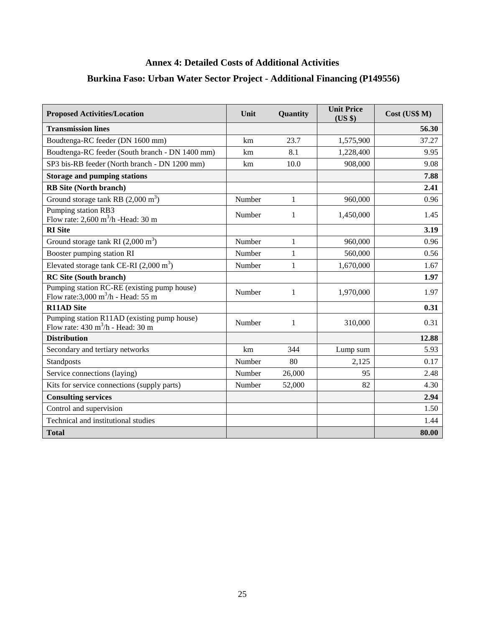# <span id="page-32-0"></span>**Annex 4: Detailed Costs of Additional Activities Burkina Faso: Urban Water Sector Project - Additional Financing (P149556)**

| <b>Proposed Activities/Location</b>                                                                         | Unit   | Quantity     | <b>Unit Price</b><br>(US \$) | Cost (US\$ M) |
|-------------------------------------------------------------------------------------------------------------|--------|--------------|------------------------------|---------------|
| <b>Transmission lines</b>                                                                                   |        |              |                              | 56.30         |
| Boudtenga-RC feeder (DN 1600 mm)                                                                            | km     | 23.7         | 1,575,900                    | 37.27         |
| Boudtenga-RC feeder (South branch - DN 1400 mm)                                                             | km     | 8.1          | 1,228,400                    | 9.95          |
| SP3 bis-RB feeder (North branch - DN 1200 mm)                                                               | km     | 10.0         | 908,000                      | 9.08          |
| <b>Storage and pumping stations</b>                                                                         |        |              |                              | 7.88          |
| <b>RB</b> Site (North branch)                                                                               |        |              |                              | 2.41          |
| Ground storage tank RB $(2,000 \text{ m}^3)$                                                                | Number | $\mathbf{1}$ | 960,000                      | 0.96          |
| Pumping station RB3<br>Flow rate: $2,600 \text{ m}^3/\text{h}$ -Head: 30 m                                  | Number | $\mathbf{1}$ | 1,450,000                    | 1.45          |
| <b>RI</b> Site                                                                                              |        |              |                              | 3.19          |
| Ground storage tank RI $(2,000 \text{ m}^3)$                                                                | Number | $\mathbf{1}$ | 960,000                      | 0.96          |
| Booster pumping station RI                                                                                  | Number | 1            | 560,000                      | 0.56          |
| Elevated storage tank CE-RI $(2,000 \text{ m}^3)$                                                           | Number | 1            | 1,670,000                    | 1.67          |
| <b>RC Site (South branch)</b>                                                                               |        |              |                              | 1.97          |
| Pumping station RC-RE (existing pump house)<br>Flow rate: $3,000 \text{ m}^3/\text{h}$ - Head: 55 m         | Number | 1            | 1,970,000                    | 1.97          |
| <b>R11AD Site</b>                                                                                           |        |              |                              | 0.31          |
| Pumping station R11AD (existing pump house)<br>Flow rate: $430 \text{ m}^3/\text{h}$ - Head: $30 \text{ m}$ | Number | 1            | 310,000                      | 0.31          |
| <b>Distribution</b>                                                                                         |        |              |                              | 12.88         |
| Secondary and tertiary networks                                                                             | km     | 344          | Lump sum                     | 5.93          |
| Standposts                                                                                                  | Number | 80           | 2,125                        | 0.17          |
| Service connections (laying)                                                                                | Number | 26,000       | 95                           | 2.48          |
| Kits for service connections (supply parts)                                                                 | Number | 52,000       | 82                           | 4.30          |
| <b>Consulting services</b>                                                                                  |        |              |                              | 2.94          |
| Control and supervision                                                                                     |        |              |                              | 1.50          |
| Technical and institutional studies                                                                         |        |              |                              | 1.44          |
| <b>Total</b>                                                                                                |        |              |                              | 80.00         |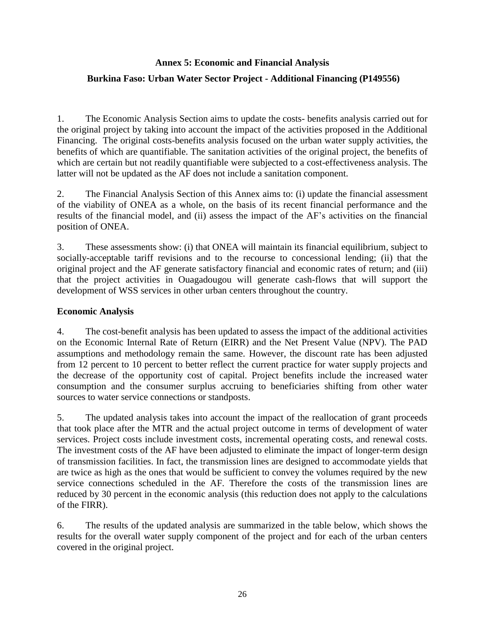# <span id="page-33-0"></span>**Annex 5: Economic and Financial Analysis Burkina Faso: Urban Water Sector Project - Additional Financing (P149556)**

1. The Economic Analysis Section aims to update the costs- benefits analysis carried out for the original project by taking into account the impact of the activities proposed in the Additional Financing. The original costs-benefits analysis focused on the urban water supply activities, the benefits of which are quantifiable. The sanitation activities of the original project, the benefits of which are certain but not readily quantifiable were subjected to a cost-effectiveness analysis. The latter will not be updated as the AF does not include a sanitation component.

2. The Financial Analysis Section of this Annex aims to: (i) update the financial assessment of the viability of ONEA as a whole, on the basis of its recent financial performance and the results of the financial model, and (ii) assess the impact of the AF's activities on the financial position of ONEA.

3. These assessments show: (i) that ONEA will maintain its financial equilibrium, subject to socially-acceptable tariff revisions and to the recourse to concessional lending; (ii) that the original project and the AF generate satisfactory financial and economic rates of return; and (iii) that the project activities in Ouagadougou will generate cash-flows that will support the development of WSS services in other urban centers throughout the country.

## **Economic Analysis**

4. The cost-benefit analysis has been updated to assess the impact of the additional activities on the Economic Internal Rate of Return (EIRR) and the Net Present Value (NPV). The PAD assumptions and methodology remain the same. However, the discount rate has been adjusted from 12 percent to 10 percent to better reflect the current practice for water supply projects and the decrease of the opportunity cost of capital. Project benefits include the increased water consumption and the consumer surplus accruing to beneficiaries shifting from other water sources to water service connections or standposts.

5. The updated analysis takes into account the impact of the reallocation of grant proceeds that took place after the MTR and the actual project outcome in terms of development of water services. Project costs include investment costs, incremental operating costs, and renewal costs. The investment costs of the AF have been adjusted to eliminate the impact of longer-term design of transmission facilities. In fact, the transmission lines are designed to accommodate yields that are twice as high as the ones that would be sufficient to convey the volumes required by the new service connections scheduled in the AF. Therefore the costs of the transmission lines are reduced by 30 percent in the economic analysis (this reduction does not apply to the calculations of the FIRR).

6. The results of the updated analysis are summarized in the table below, which shows the results for the overall water supply component of the project and for each of the urban centers covered in the original project.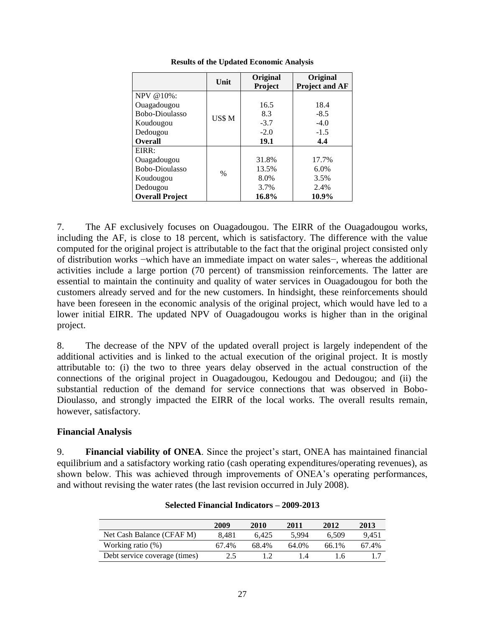|                        | Unit          | Original<br>Project | Original<br><b>Project and AF</b> |
|------------------------|---------------|---------------------|-----------------------------------|
| NPV @10%:              |               |                     |                                   |
| Ouagadougou            |               | 16.5                | 18.4                              |
| Bobo-Dioulasso         | US\$ M        | 8.3                 | $-8.5$                            |
| Koudougou              |               | $-3.7$              | $-4.0$                            |
| Dedougou               |               | $-2.0$              | $-1.5$                            |
| <b>Overall</b>         |               | 19.1                | 4.4                               |
| EIRR:                  |               |                     |                                   |
| Ouagadougou            |               | 31.8%               | 17.7%                             |
| Bobo-Dioulasso         | $\frac{0}{0}$ | 13.5%               | 6.0%                              |
| Koudougou              |               | 8.0%                | 3.5%                              |
| Dedougou               |               | 3.7%                | 2.4%                              |
| <b>Overall Project</b> |               | 16.8%               | 10.9%                             |

**Results of the Updated Economic Analysis**

7. The AF exclusively focuses on Ouagadougou. The EIRR of the Ouagadougou works, including the AF, is close to 18 percent, which is satisfactory. The difference with the value computed for the original project is attributable to the fact that the original project consisted only of distribution works −which have an immediate impact on water sales−, whereas the additional activities include a large portion (70 percent) of transmission reinforcements. The latter are essential to maintain the continuity and quality of water services in Ouagadougou for both the customers already served and for the new customers. In hindsight, these reinforcements should have been foreseen in the economic analysis of the original project, which would have led to a lower initial EIRR. The updated NPV of Ouagadougou works is higher than in the original project.

8. The decrease of the NPV of the updated overall project is largely independent of the additional activities and is linked to the actual execution of the original project. It is mostly attributable to: (i) the two to three years delay observed in the actual construction of the connections of the original project in Ouagadougou, Kedougou and Dedougou; and (ii) the substantial reduction of the demand for service connections that was observed in Bobo-Dioulasso, and strongly impacted the EIRR of the local works. The overall results remain, however, satisfactory.

### **Financial Analysis**

9. **Financial viability of ONEA**. Since the project's start, ONEA has maintained financial equilibrium and a satisfactory working ratio (cash operating expenditures/operating revenues), as shown below. This was achieved through improvements of ONEA's operating performances, and without revising the water rates (the last revision occurred in July 2008).

|                               | 2009  | 2010  | 2011  | 2012  | 2013  |
|-------------------------------|-------|-------|-------|-------|-------|
| Net Cash Balance (CFAF M)     | 8.481 | 6.425 | 5.994 | 6.509 | 9.451 |
| Working ratio (%)             | 67.4% | 68.4% | 64.0% | 66.1% | 67.4% |
| Debt service coverage (times) | 2.5   |       | ıа    | 4.6   |       |

#### **Selected Financial Indicators – 2009-2013**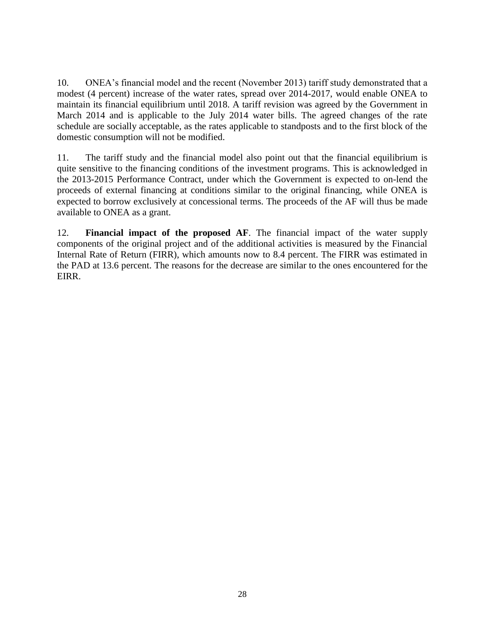10. ONEA's financial model and the recent (November 2013) tariff study demonstrated that a modest (4 percent) increase of the water rates, spread over 2014-2017, would enable ONEA to maintain its financial equilibrium until 2018. A tariff revision was agreed by the Government in March 2014 and is applicable to the July 2014 water bills. The agreed changes of the rate schedule are socially acceptable, as the rates applicable to standposts and to the first block of the domestic consumption will not be modified.

11. The tariff study and the financial model also point out that the financial equilibrium is quite sensitive to the financing conditions of the investment programs. This is acknowledged in the 2013-2015 Performance Contract, under which the Government is expected to on-lend the proceeds of external financing at conditions similar to the original financing, while ONEA is expected to borrow exclusively at concessional terms. The proceeds of the AF will thus be made available to ONEA as a grant.

12. **Financial impact of the proposed AF**. The financial impact of the water supply components of the original project and of the additional activities is measured by the Financial Internal Rate of Return (FIRR), which amounts now to 8.4 percent. The FIRR was estimated in the PAD at 13.6 percent. The reasons for the decrease are similar to the ones encountered for the EIRR.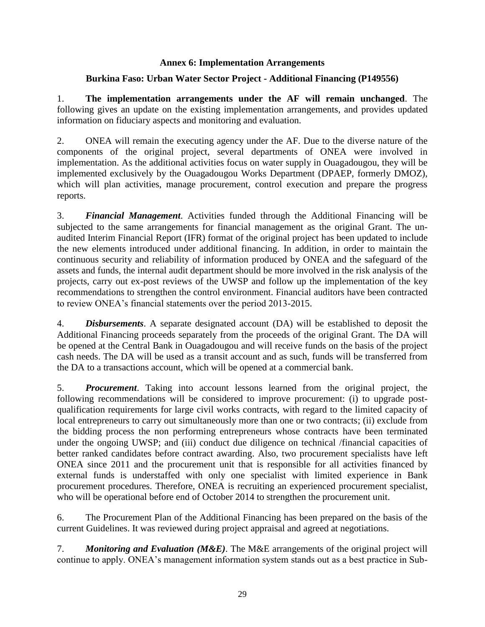## **Annex 6: Implementation Arrangements**

## <span id="page-36-0"></span>**Burkina Faso: Urban Water Sector Project - Additional Financing (P149556)**

1. **The implementation arrangements under the AF will remain unchanged**. The following gives an update on the existing implementation arrangements, and provides updated information on fiduciary aspects and monitoring and evaluation.

2. ONEA will remain the executing agency under the AF. Due to the diverse nature of the components of the original project, several departments of ONEA were involved in implementation. As the additional activities focus on water supply in Ouagadougou, they will be implemented exclusively by the Ouagadougou Works Department (DPAEP, formerly DMOZ), which will plan activities, manage procurement, control execution and prepare the progress reports.

3. *Financial Management*. Activities funded through the Additional Financing will be subjected to the same arrangements for financial management as the original Grant. The unaudited Interim Financial Report (IFR) format of the original project has been updated to include the new elements introduced under additional financing. In addition, in order to maintain the continuous security and reliability of information produced by ONEA and the safeguard of the assets and funds, the internal audit department should be more involved in the risk analysis of the projects, carry out ex-post reviews of the UWSP and follow up the implementation of the key recommendations to strengthen the control environment. Financial auditors have been contracted to review ONEA's financial statements over the period 2013-2015.

4. *Disbursements*. A separate designated account (DA) will be established to deposit the Additional Financing proceeds separately from the proceeds of the original Grant. The DA will be opened at the Central Bank in Ouagadougou and will receive funds on the basis of the project cash needs. The DA will be used as a transit account and as such, funds will be transferred from the DA to a transactions account, which will be opened at a commercial bank.

5. *Procurement*. Taking into account lessons learned from the original project, the following recommendations will be considered to improve procurement: (i) to upgrade postqualification requirements for large civil works contracts, with regard to the limited capacity of local entrepreneurs to carry out simultaneously more than one or two contracts; (ii) exclude from the bidding process the non performing entrepreneurs whose contracts have been terminated under the ongoing UWSP; and (iii) conduct due diligence on technical /financial capacities of better ranked candidates before contract awarding. Also, two procurement specialists have left ONEA since 2011 and the procurement unit that is responsible for all activities financed by external funds is understaffed with only one specialist with limited experience in Bank procurement procedures. Therefore, ONEA is recruiting an experienced procurement specialist, who will be operational before end of October 2014 to strengthen the procurement unit.

6. The Procurement Plan of the Additional Financing has been prepared on the basis of the current Guidelines. It was reviewed during project appraisal and agreed at negotiations.

7. *Monitoring and Evaluation (M&E)*. The M&E arrangements of the original project will continue to apply. ONEA's management information system stands out as a best practice in Sub